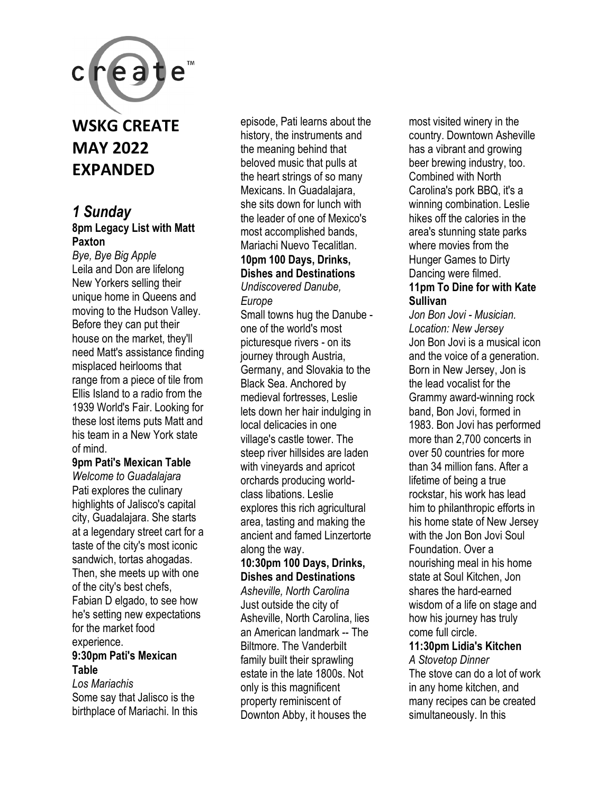

## **WSKG CREATE MAY 2022 EXPANDED**

#### *1 Sunday*  **8pm Legacy List with Matt Paxton**

*Bye, Bye Big Apple*  Leila and Don are lifelong New Yorkers selling their unique home in Queens and moving to the Hudson Valley. Before they can put their house on the market, they'll need Matt's assistance finding misplaced heirlooms that range from a piece of tile from Ellis Island to a radio from the 1939 World's Fair. Looking for these lost items puts Matt and his team in a New York state of mind.

#### **9pm Pati's Mexican Table**

*Welcome to Guadalajara*  Pati explores the culinary highlights of Jalisco's capital city, Guadalajara. She starts at a legendary street cart for a taste of the city's most iconic sandwich, tortas ahogadas. Then, she meets up with one of the city's best chefs, Fabian D elgado, to see how he's setting new expectations for the market food experience. **9:30pm Pati's Mexican Table** 

*Los Mariachis*  Some say that Jalisco is the birthplace of Mariachi. In this

episode, Pati learns about the history, the instruments and the meaning behind that beloved music that pulls at the heart strings of so many Mexicans. In Guadalajara, she sits down for lunch with the leader of one of Mexico's most accomplished bands, Mariachi Nuevo Tecalitlan. **10pm 100 Days, Drinks,** 

### **Dishes and Destinations**

*Undiscovered Danube,* 

*Europe* 

Small towns hug the Danube one of the world's most picturesque rivers - on its journey through Austria, Germany, and Slovakia to the Black Sea. Anchored by medieval fortresses, Leslie lets down her hair indulging in local delicacies in one village's castle tower. The steep river hillsides are laden with vineyards and apricot orchards producing worldclass libations. Leslie explores this rich agricultural area, tasting and making the ancient and famed Linzertorte along the way.

#### **10:30pm 100 Days, Drinks, Dishes and Destinations**

*Asheville, North Carolina*  Just outside the city of Asheville, North Carolina, lies an American landmark -- The Biltmore. The Vanderbilt family built their sprawling estate in the late 1800s. Not only is this magnificent property reminiscent of Downton Abby, it houses the

most visited winery in the country. Downtown Asheville has a vibrant and growing beer brewing industry, too. Combined with North Carolina's pork BBQ, it's a winning combination. Leslie hikes off the calories in the area's stunning state parks where movies from the Hunger Games to Dirty Dancing were filmed. **11pm To Dine for with Kate Sullivan** 

*Jon Bon Jovi - Musician. Location: New Jersey*  Jon Bon Jovi is a musical icon and the voice of a generation. Born in New Jersey, Jon is the lead vocalist for the Grammy award-winning rock band, Bon Jovi, formed in 1983. Bon Jovi has performed more than 2,700 concerts in over 50 countries for more than 34 million fans. After a lifetime of being a true rockstar, his work has lead him to philanthropic efforts in his home state of New Jersey with the Jon Bon Jovi Soul Foundation. Over a nourishing meal in his home state at Soul Kitchen, Jon shares the hard-earned wisdom of a life on stage and how his journey has truly come full circle.

### **11:30pm Lidia's Kitchen**

*A Stovetop Dinner*  The stove can do a lot of work in any home kitchen, and many recipes can be created simultaneously. In this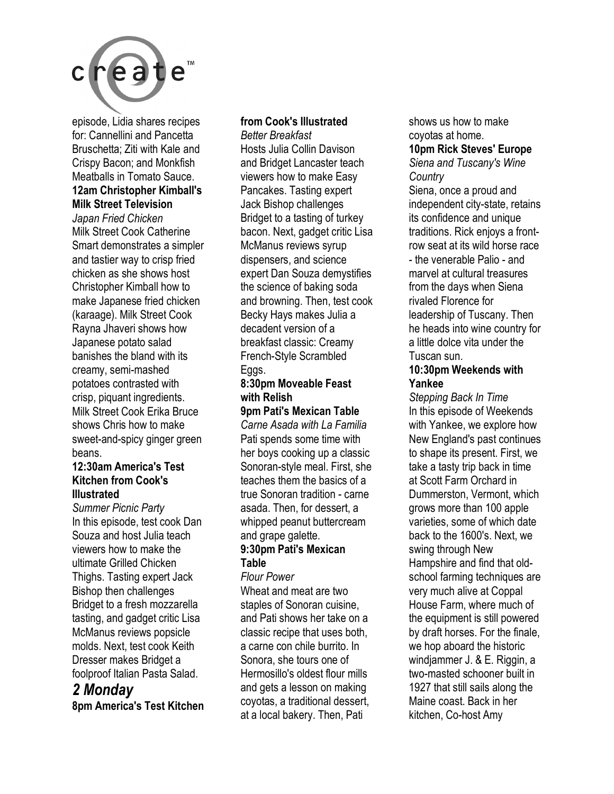

episode, Lidia shares recipes for: Cannellini and Pancetta Bruschetta; Ziti with Kale and Crispy Bacon; and Monkfish Meatballs in Tomato Sauce. **12am Christopher Kimball's** 

#### **Milk Street Television**

*Japan Fried Chicken*  Milk Street Cook Catherine Smart demonstrates a simpler and tastier way to crisp fried chicken as she shows host Christopher Kimball how to make Japanese fried chicken (karaage). Milk Street Cook Rayna Jhaveri shows how Japanese potato salad banishes the bland with its creamy, semi-mashed potatoes contrasted with crisp, piquant ingredients. Milk Street Cook Erika Bruce shows Chris how to make sweet-and-spicy ginger green beans.

#### **12:30am America's Test Kitchen from Cook's Illustrated**

*Summer Picnic Party*  In this episode, test cook Dan Souza and host Julia teach viewers how to make the ultimate Grilled Chicken Thighs. Tasting expert Jack Bishop then challenges Bridget to a fresh mozzarella tasting, and gadget critic Lisa McManus reviews popsicle molds. Next, test cook Keith Dresser makes Bridget a foolproof Italian Pasta Salad.

### *2 Monday*

**8pm America's Test Kitchen** 

#### **from Cook's Illustrated**

*Better Breakfast*  Hosts Julia Collin Davison and Bridget Lancaster teach viewers how to make Easy Pancakes. Tasting expert Jack Bishop challenges Bridget to a tasting of turkey bacon. Next, gadget critic Lisa McManus reviews syrup dispensers, and science expert Dan Souza demystifies the science of baking soda and browning. Then, test cook Becky Hays makes Julia a decadent version of a breakfast classic: Creamy French-Style Scrambled Eggs.

#### **8:30pm Moveable Feast with Relish**

**9pm Pati's Mexican Table** 

*Carne Asada with La Familia*  Pati spends some time with her boys cooking up a classic Sonoran-style meal. First, she teaches them the basics of a true Sonoran tradition - carne asada. Then, for dessert, a whipped peanut buttercream and grape galette.

#### **9:30pm Pati's Mexican Table**

*Flour Power*  Wheat and meat are two staples of Sonoran cuisine, and Pati shows her take on a classic recipe that uses both, a carne con chile burrito. In Sonora, she tours one of Hermosillo's oldest flour mills and gets a lesson on making coyotas, a traditional dessert, at a local bakery. Then, Pati

shows us how to make coyotas at home.

### **10pm Rick Steves' Europe**

*Siena and Tuscany's Wine Country* 

Siena, once a proud and independent city-state, retains its confidence and unique traditions. Rick enjoys a frontrow seat at its wild horse race - the venerable Palio - and marvel at cultural treasures from the days when Siena rivaled Florence for leadership of Tuscany. Then he heads into wine country for a little dolce vita under the Tuscan sun.

#### **10:30pm Weekends with Yankee**

*Stepping Back In Time*  In this episode of Weekends with Yankee, we explore how New England's past continues to shape its present. First, we take a tasty trip back in time at Scott Farm Orchard in Dummerston, Vermont, which grows more than 100 apple varieties, some of which date back to the 1600's. Next, we swing through New Hampshire and find that oldschool farming techniques are very much alive at Coppal House Farm, where much of the equipment is still powered by draft horses. For the finale, we hop aboard the historic windjammer J. & E. Riggin, a two-masted schooner built in 1927 that still sails along the Maine coast. Back in her kitchen, Co-host Amy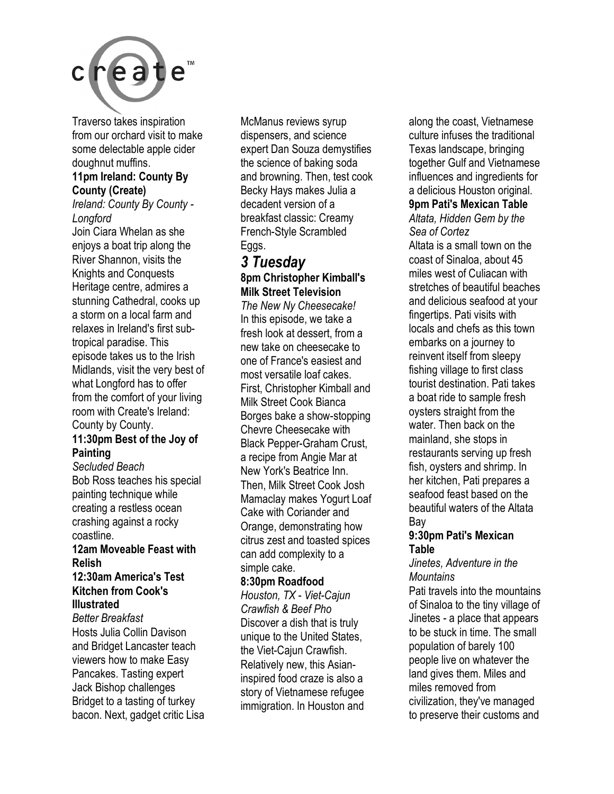

Traverso takes inspiration from our orchard visit to make some delectable apple cider doughnut muffins.

#### **11pm Ireland: County By County (Create)**

*Ireland: County By County - Longford* 

Join Ciara Whelan as she enjoys a boat trip along the River Shannon, visits the Knights and Conquests Heritage centre, admires a stunning Cathedral, cooks up a storm on a local farm and relaxes in Ireland's first subtropical paradise. This episode takes us to the Irish Midlands, visit the very best of what Longford has to offer from the comfort of your living room with Create's Ireland: County by County.

#### **11:30pm Best of the Joy of Painting**

*Secluded Beach*  Bob Ross teaches his special painting technique while creating a restless ocean crashing against a rocky coastline.

#### **12am Moveable Feast with Relish**

#### **12:30am America's Test Kitchen from Cook's Illustrated**

*Better Breakfast*  Hosts Julia Collin Davison and Bridget Lancaster teach viewers how to make Easy Pancakes. Tasting expert Jack Bishop challenges Bridget to a tasting of turkey bacon. Next, gadget critic Lisa

McManus reviews syrup dispensers, and science expert Dan Souza demystifies the science of baking soda and browning. Then, test cook Becky Hays makes Julia a decadent version of a breakfast classic: Creamy French-Style Scrambled Eggs.

#### *3 Tuesday*  **8pm Christopher Kimball's Milk Street Television**

*The New Ny Cheesecake!*  In this episode, we take a fresh look at dessert, from a new take on cheesecake to one of France's easiest and most versatile loaf cakes. First, Christopher Kimball and Milk Street Cook Bianca Borges bake a show-stopping Chevre Cheesecake with Black Pepper-Graham Crust, a recipe from Angie Mar at New York's Beatrice Inn. Then, Milk Street Cook Josh Mamaclay makes Yogurt Loaf Cake with Coriander and Orange, demonstrating how citrus zest and toasted spices can add complexity to a simple cake.

#### **8:30pm Roadfood**

*Houston, TX - Viet-Cajun Crawfish & Beef Pho*  Discover a dish that is truly unique to the United States, the Viet-Cajun Crawfish. Relatively new, this Asianinspired food craze is also a story of Vietnamese refugee immigration. In Houston and

along the coast, Vietnamese culture infuses the traditional Texas landscape, bringing together Gulf and Vietnamese influences and ingredients for a delicious Houston original. **9pm Pati's Mexican Table**  *Altata, Hidden Gem by the* 

## *Sea of Cortez*

Altata is a small town on the coast of Sinaloa, about 45 miles west of Culiacan with stretches of beautiful beaches and delicious seafood at your fingertips. Pati visits with locals and chefs as this town embarks on a journey to reinvent itself from sleepy fishing village to first class tourist destination. Pati takes a boat ride to sample fresh oysters straight from the water. Then back on the mainland, she stops in restaurants serving up fresh fish, oysters and shrimp. In her kitchen, Pati prepares a seafood feast based on the beautiful waters of the Altata Bay

#### **9:30pm Pati's Mexican Table**

#### *Jinetes, Adventure in the Mountains*

Pati travels into the mountains of Sinaloa to the tiny village of Jinetes - a place that appears to be stuck in time. The small population of barely 100 people live on whatever the land gives them. Miles and miles removed from civilization, they've managed to preserve their customs and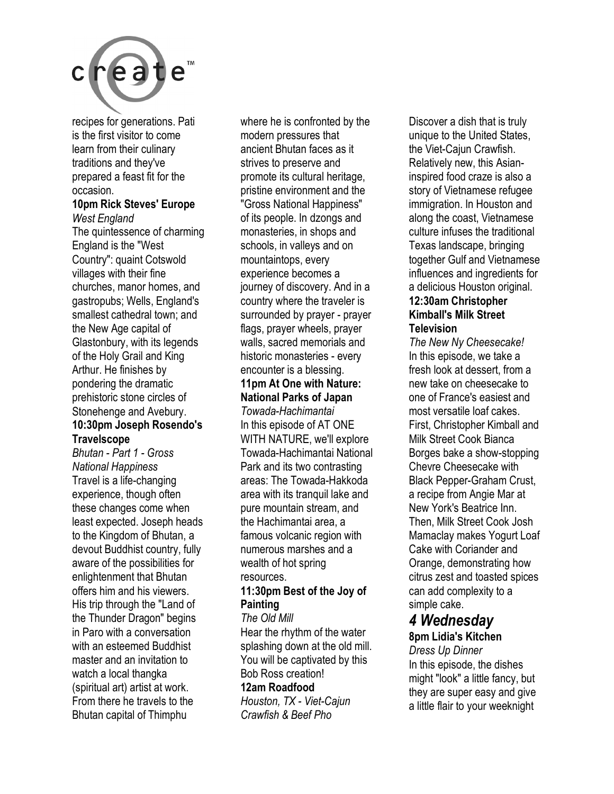

recipes for generations. Pati is the first visitor to come learn from their culinary traditions and they've prepared a feast fit for the occasion.

### **10pm Rick Steves' Europe**

*West England*  The quintessence of charming England is the "West Country": quaint Cotswold villages with their fine churches, manor homes, and gastropubs; Wells, England's smallest cathedral town; and the New Age capital of Glastonbury, with its legends of the Holy Grail and King Arthur. He finishes by pondering the dramatic prehistoric stone circles of Stonehenge and Avebury. **10:30pm Joseph Rosendo's Travelscope** 

*Bhutan - Part 1 - Gross National Happiness*  Travel is a life-changing experience, though often these changes come when least expected. Joseph heads to the Kingdom of Bhutan, a devout Buddhist country, fully aware of the possibilities for enlightenment that Bhutan offers him and his viewers. His trip through the "Land of the Thunder Dragon" begins in Paro with a conversation with an esteemed Buddhist master and an invitation to watch a local thangka (spiritual art) artist at work. From there he travels to the Bhutan capital of Thimphu

where he is confronted by the modern pressures that ancient Bhutan faces as it strives to preserve and promote its cultural heritage, pristine environment and the "Gross National Happiness" of its people. In dzongs and monasteries, in shops and schools, in valleys and on mountaintops, every experience becomes a journey of discovery. And in a country where the traveler is surrounded by prayer - prayer flags, prayer wheels, prayer walls, sacred memorials and historic monasteries - every encounter is a blessing. **11pm At One with Nature: National Parks of Japan**  *Towada-Hachimantai*  In this episode of AT ONE

WITH NATURE, we'll explore Towada-Hachimantai National Park and its two contrasting areas: The Towada-Hakkoda area with its tranquil lake and pure mountain stream, and the Hachimantai area, a famous volcanic region with numerous marshes and a wealth of hot spring resources.

#### **11:30pm Best of the Joy of Painting**

*The Old Mill*  Hear the rhythm of the water splashing down at the old mill. You will be captivated by this Bob Ross creation!

#### **12am Roadfood**

*Houston, TX - Viet-Cajun Crawfish & Beef Pho* 

Discover a dish that is truly unique to the United States, the Viet-Cajun Crawfish. Relatively new, this Asianinspired food craze is also a story of Vietnamese refugee immigration. In Houston and along the coast, Vietnamese culture infuses the traditional Texas landscape, bringing together Gulf and Vietnamese influences and ingredients for a delicious Houston original. **12:30am Christopher** 

### **Kimball's Milk Street Television**

*The New Ny Cheesecake!*  In this episode, we take a fresh look at dessert, from a new take on cheesecake to one of France's easiest and most versatile loaf cakes. First, Christopher Kimball and Milk Street Cook Bianca Borges bake a show-stopping Chevre Cheesecake with Black Pepper-Graham Crust, a recipe from Angie Mar at New York's Beatrice Inn. Then, Milk Street Cook Josh Mamaclay makes Yogurt Loaf Cake with Coriander and Orange, demonstrating how citrus zest and toasted spices can add complexity to a simple cake.

#### *4 Wednesday*  **8pm Lidia's Kitchen**

*Dress Up Dinner*  In this episode, the dishes might "look" a little fancy, but they are super easy and give a little flair to your weeknight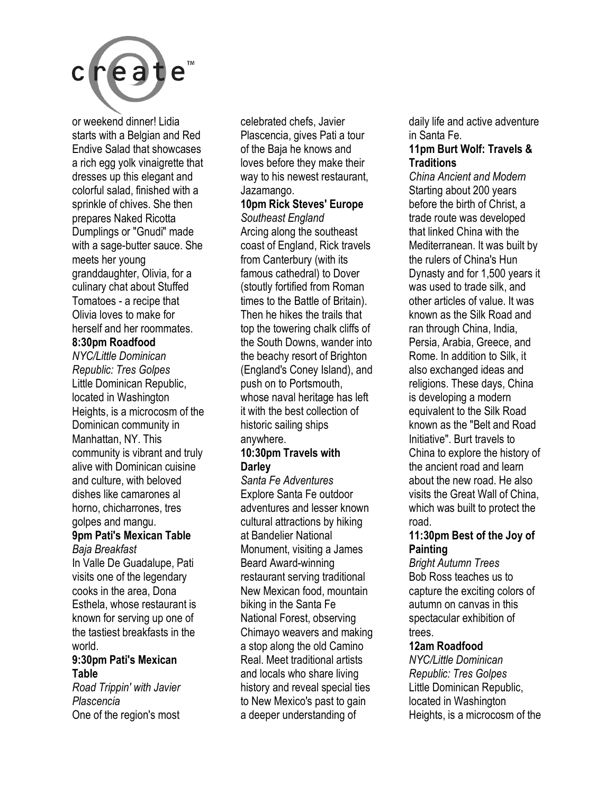

or weekend dinner! Lidia starts with a Belgian and Red Endive Salad that showcases a rich egg yolk vinaigrette that dresses up this elegant and colorful salad, finished with a sprinkle of chives. She then prepares Naked Ricotta Dumplings or "Gnudi" made with a sage-butter sauce. She meets her young granddaughter, Olivia, for a culinary chat about Stuffed Tomatoes - a recipe that Olivia loves to make for herself and her roommates.

#### **8:30pm Roadfood**

*NYC/Little Dominican Republic: Tres Golpes*  Little Dominican Republic, located in Washington Heights, is a microcosm of the Dominican community in Manhattan, NY. This community is vibrant and truly alive with Dominican cuisine and culture, with beloved dishes like camarones al horno, chicharrones, tres golpes and mangu.

#### **9pm Pati's Mexican Table**  *Baja Breakfast*

In Valle De Guadalupe, Pati visits one of the legendary cooks in the area, Dona Esthela, whose restaurant is known for serving up one of the tastiest breakfasts in the world.

#### **9:30pm Pati's Mexican Table**

*Road Trippin' with Javier Plascencia*  One of the region's most

celebrated chefs, Javier Plascencia, gives Pati a tour of the Baja he knows and loves before they make their way to his newest restaurant, Jazamango.

#### **10pm Rick Steves' Europe**  *Southeast England*

Arcing along the southeast coast of England, Rick travels from Canterbury (with its famous cathedral) to Dover (stoutly fortified from Roman times to the Battle of Britain). Then he hikes the trails that top the towering chalk cliffs of the South Downs, wander into the beachy resort of Brighton (England's Coney Island), and push on to Portsmouth, whose naval heritage has left it with the best collection of historic sailing ships anywhere.

#### **10:30pm Travels with Darley**

*Santa Fe Adventures*  Explore Santa Fe outdoor adventures and lesser known cultural attractions by hiking at Bandelier National Monument, visiting a James Beard Award-winning restaurant serving traditional New Mexican food, mountain biking in the Santa Fe National Forest, observing Chimayo weavers and making a stop along the old Camino Real. Meet traditional artists and locals who share living history and reveal special ties to New Mexico's past to gain a deeper understanding of

daily life and active adventure in Santa Fe.

#### **11pm Burt Wolf: Travels & Traditions**

*China Ancient and Modern*  Starting about 200 years before the birth of Christ, a trade route was developed that linked China with the Mediterranean. It was built by the rulers of China's Hun Dynasty and for 1,500 years it was used to trade silk, and other articles of value. It was known as the Silk Road and ran through China, India, Persia, Arabia, Greece, and Rome. In addition to Silk, it also exchanged ideas and religions. These days, China is developing a modern equivalent to the Silk Road known as the "Belt and Road Initiative". Burt travels to China to explore the history of the ancient road and learn about the new road. He also visits the Great Wall of China, which was built to protect the road.

#### **11:30pm Best of the Joy of Painting**

*Bright Autumn Trees*  Bob Ross teaches us to capture the exciting colors of autumn on canvas in this spectacular exhibition of trees.

#### **12am Roadfood**

*NYC/Little Dominican Republic: Tres Golpes*  Little Dominican Republic, located in Washington Heights, is a microcosm of the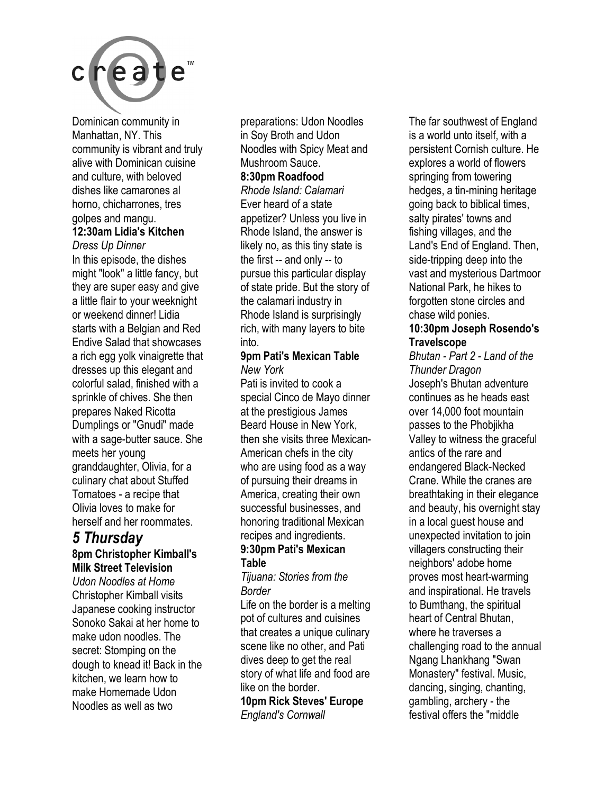

Dominican community in Manhattan, NY. This community is vibrant and truly alive with Dominican cuisine and culture, with beloved dishes like camarones al horno, chicharrones, tres golpes and mangu.

### **12:30am Lidia's Kitchen**

*Dress Up Dinner*  In this episode, the dishes might "look" a little fancy, but they are super easy and give a little flair to your weeknight or weekend dinner! Lidia starts with a Belgian and Red Endive Salad that showcases a rich egg yolk vinaigrette that dresses up this elegant and colorful salad, finished with a sprinkle of chives. She then prepares Naked Ricotta Dumplings or "Gnudi" made with a sage-butter sauce. She meets her young granddaughter, Olivia, for a culinary chat about Stuffed Tomatoes - a recipe that Olivia loves to make for herself and her roommates.

#### *5 Thursday*  **8pm Christopher Kimball's Milk Street Television**

*Udon Noodles at Home*  Christopher Kimball visits Japanese cooking instructor Sonoko Sakai at her home to make udon noodles. The secret: Stomping on the dough to knead it! Back in the kitchen, we learn how to make Homemade Udon Noodles as well as two

preparations: Udon Noodles in Soy Broth and Udon Noodles with Spicy Meat and Mushroom Sauce. **8:30pm Roadfood** 

*Rhode Island: Calamari*  Ever heard of a state appetizer? Unless you live in Rhode Island, the answer is likely no, as this tiny state is the first -- and only -- to pursue this particular display of state pride. But the story of the calamari industry in Rhode Island is surprisingly rich, with many layers to bite into.

#### **9pm Pati's Mexican Table**  *New York*

Pati is invited to cook a special Cinco de Mayo dinner at the prestigious James Beard House in New York, then she visits three Mexican-American chefs in the city who are using food as a way of pursuing their dreams in America, creating their own successful businesses, and honoring traditional Mexican recipes and ingredients. **9:30pm Pati's Mexican** 

## **Table**

*Tijuana: Stories from the Border* 

Life on the border is a melting pot of cultures and cuisines that creates a unique culinary scene like no other, and Pati dives deep to get the real story of what life and food are like on the border.

**10pm Rick Steves' Europe**  *England's Cornwall* 

The far southwest of England is a world unto itself, with a persistent Cornish culture. He explores a world of flowers springing from towering hedges, a tin-mining heritage going back to biblical times, salty pirates' towns and fishing villages, and the Land's End of England. Then, side-tripping deep into the vast and mysterious Dartmoor National Park, he hikes to forgotten stone circles and chase wild ponies.

#### **10:30pm Joseph Rosendo's Travelscope**

*Bhutan - Part 2 - Land of the Thunder Dragon*  Joseph's Bhutan adventure continues as he heads east over 14,000 foot mountain passes to the Phobjikha Valley to witness the graceful antics of the rare and endangered Black-Necked Crane. While the cranes are breathtaking in their elegance and beauty, his overnight stay in a local guest house and unexpected invitation to join villagers constructing their neighbors' adobe home proves most heart-warming and inspirational. He travels to Bumthang, the spiritual heart of Central Bhutan, where he traverses a challenging road to the annual Ngang Lhankhang "Swan Monastery" festival. Music, dancing, singing, chanting, gambling, archery - the festival offers the "middle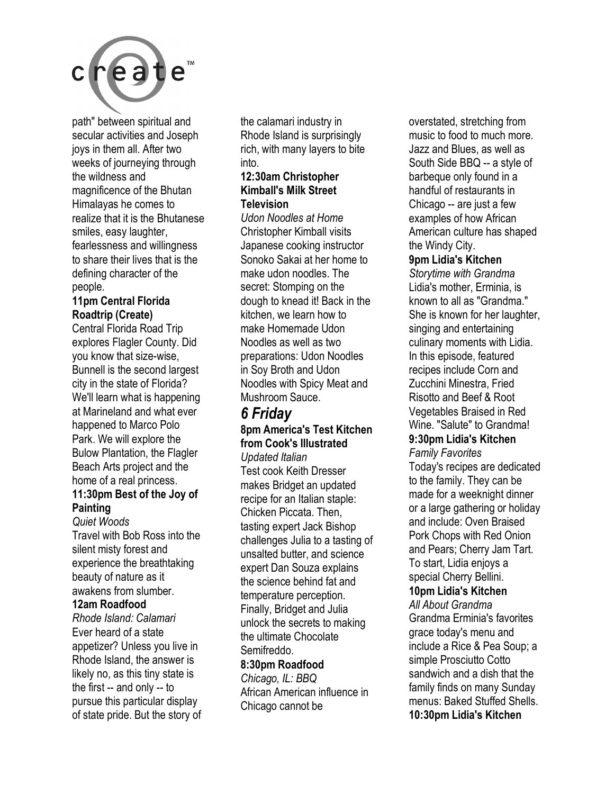

path" between spiritual and secular activities and Joseph joys in them all. After two weeks of journeying through the wildness and magnificence of the Bhutan Himalayas he comes to realize that it is the Bhutanese smiles, easy laughter, fearlessness and willingness to share their lives that is the defining character of the people.

#### **11pm Central Florida Roadtrip (Create)**

Central Florida Road Trip explores Flagler County. Did you know that size-wise, Bunnell is the second largest city in the state of Florida? We'll learn what is happening at Marineland and what ever happened to Marco Polo Park. We will explore the Bulow Plantation, the Flagler Beach Arts project and the home of a real princess.

#### **11:30pm Best of the Joy of Painting**

*Quiet Woods*  Travel with Bob Ross into the silent misty forest and experience the breathtaking beauty of nature as it awakens from slumber.

#### **12am Roadfood**

*Rhode Island: Calamari*  Ever heard of a state appetizer? Unless you live in Rhode Island, the answer is likely no, as this tiny state is the first -- and only -- to pursue this particular display of state pride. But the story of

the calamari industry in Rhode Island is surprisingly rich, with many layers to bite into.

#### **12:30am Christopher Kimball's Milk Street Television**

*Udon Noodles at Home*  Christopher Kimball visits Japanese cooking instructor Sonoko Sakai at her home to make udon noodles. The secret: Stomping on the dough to knead it! Back in the kitchen, we learn how to make Homemade Udon Noodles as well as two preparations: Udon Noodles in Soy Broth and Udon Noodles with Spicy Meat and Mushroom Sauce.

### *6 Friday*

### **8pm America's Test Kitchen from Cook's Illustrated**

*Updated Italian*  Test cook Keith Dresser makes Bridget an updated recipe for an Italian staple: Chicken Piccata. Then, tasting expert Jack Bishop challenges Julia to a tasting of unsalted butter, and science expert Dan Souza explains the science behind fat and temperature perception. Finally, Bridget and Julia unlock the secrets to making the ultimate Chocolate Semifreddo.

#### **8:30pm Roadfood**

*Chicago, IL: BBQ*  African American influence in Chicago cannot be

overstated, stretching from music to food to much more. Jazz and Blues, as well as South Side BBQ -- a style of barbeque only found in a handful of restaurants in Chicago -- are just a few examples of how African American culture has shaped the Windy City.

#### **9pm Lidia's Kitchen**

*Storytime with Grandma*  Lidia's mother, Erminia, is known to all as "Grandma." She is known for her laughter, singing and entertaining culinary moments with Lidia. In this episode, featured recipes include Corn and Zucchini Minestra, Fried Risotto and Beef & Root Vegetables Braised in Red Wine. "Salute" to Grandma! **9:30pm Lidia's Kitchen** 

## *Family Favorites*

Today's recipes are dedicated to the family. They can be made for a weeknight dinner or a large gathering or holiday and include: Oven Braised Pork Chops with Red Onion and Pears; Cherry Jam Tart. To start, Lidia enjoys a special Cherry Bellini. **10pm Lidia's Kitchen** 

### *All About Grandma*

Grandma Erminia's favorites grace today's menu and include a Rice & Pea Soup; a simple Prosciutto Cotto sandwich and a dish that the family finds on many Sunday menus: Baked Stuffed Shells. **10:30pm Lidia's Kitchen**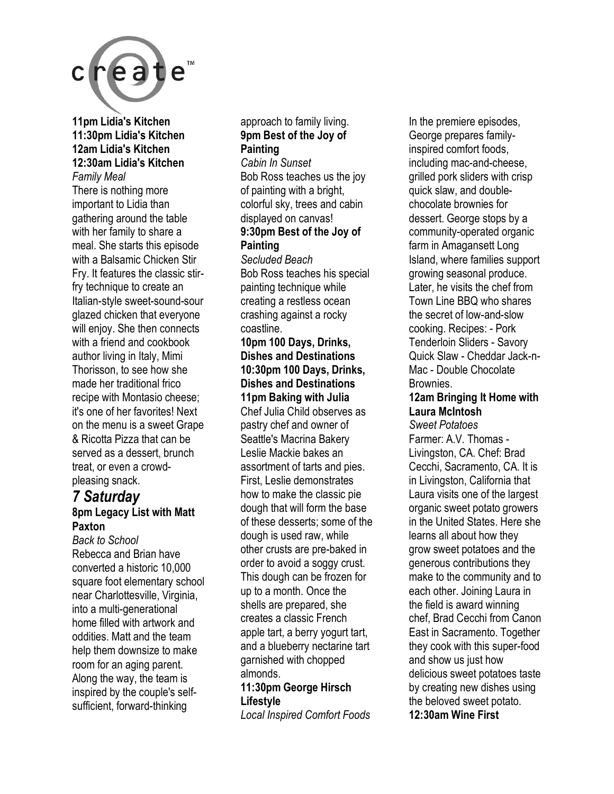

**11pm Lidia's Kitchen 11:30pm Lidia's Kitchen 12am Lidia's Kitchen 12:30am Lidia's Kitchen**  *Family Meal* 

There is nothing more important to Lidia than gathering around the table with her family to share a meal. She starts this episode with a Balsamic Chicken Stir Fry. It features the classic stirfry technique to create an Italian-style sweet-sound-sour glazed chicken that everyone will enjoy. She then connects with a friend and cookbook author living in Italy, Mimi Thorisson, to see how she made her traditional frico recipe with Montasio cheese; it's one of her favorites! Next on the menu is a sweet Grape & Ricotta Pizza that can be served as a dessert, brunch treat, or even a crowdpleasing snack.

#### *7 Saturday*  **8pm Legacy List with Matt Paxton**

*Back to School*  Rebecca and Brian have converted a historic 10,000 square foot elementary school near Charlottesville, Virginia, into a multi-generational home filled with artwork and oddities. Matt and the team help them downsize to make room for an aging parent. Along the way, the team is inspired by the couple's selfsufficient, forward-thinking

#### approach to family living. **9pm Best of the Joy of Painting**

*Cabin In Sunset*  Bob Ross teaches us the joy of painting with a bright, colorful sky, trees and cabin displayed on canvas! **9:30pm Best of the Joy of Painting** 

*Secluded Beach*  Bob Ross teaches his special painting technique while creating a restless ocean crashing against a rocky coastline.

#### **10pm 100 Days, Drinks, Dishes and Destinations 10:30pm 100 Days, Drinks, Dishes and Destinations 11pm Baking with Julia**

Chef Julia Child observes as pastry chef and owner of Seattle's Macrina Bakery Leslie Mackie bakes an assortment of tarts and pies. First, Leslie demonstrates how to make the classic pie dough that will form the base of these desserts; some of the dough is used raw, while other crusts are pre-baked in order to avoid a soggy crust. This dough can be frozen for up to a month. Once the shells are prepared, she creates a classic French apple tart, a berry yogurt tart, and a blueberry nectarine tart garnished with chopped almonds.

#### **11:30pm George Hirsch Lifestyle**

*Local Inspired Comfort Foods* 

In the premiere episodes, George prepares familyinspired comfort foods, including mac-and-cheese, grilled pork sliders with crisp quick slaw, and doublechocolate brownies for dessert. George stops by a community-operated organic farm in Amagansett Long Island, where families support growing seasonal produce. Later, he visits the chef from Town Line BBQ who shares the secret of low-and-slow cooking. Recipes: - Pork Tenderloin Sliders - Savory Quick Slaw - Cheddar Jack-n-Mac - Double Chocolate Brownies.

#### **12am Bringing It Home with Laura McIntosh**

*Sweet Potatoes*  Farmer: A.V. Thomas - Livingston, CA. Chef: Brad Cecchi, Sacramento, CA. It is in Livingston, California that Laura visits one of the largest organic sweet potato growers in the United States. Here she learns all about how they grow sweet potatoes and the generous contributions they make to the community and to each other. Joining Laura in the field is award winning chef, Brad Cecchi from Canon East in Sacramento. Together they cook with this super-food and show us just how delicious sweet potatoes taste by creating new dishes using the beloved sweet potato. **12:30am Wine First**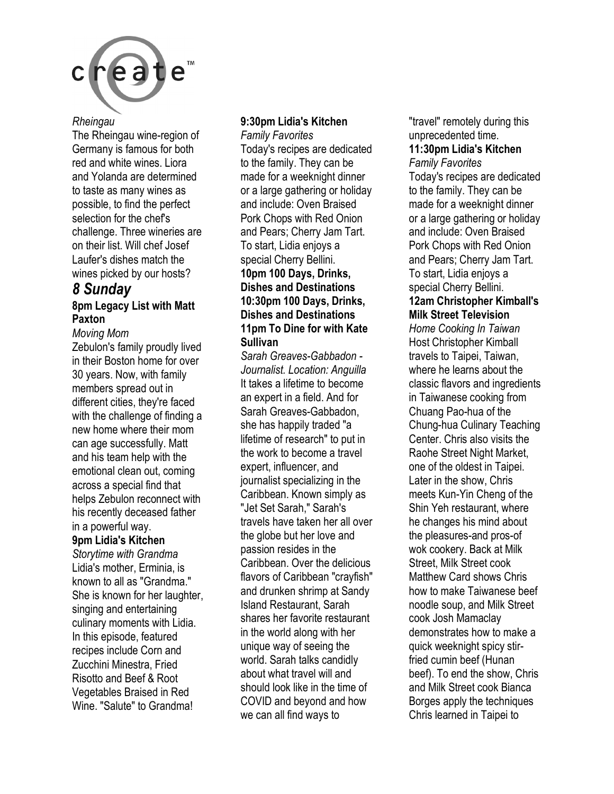

#### *Rheingau*

The Rheingau wine-region of Germany is famous for both red and white wines. Liora and Yolanda are determined to taste as many wines as possible, to find the perfect selection for the chef's challenge. Three wineries are on their list. Will chef Josef Laufer's dishes match the wines picked by our hosts?

#### *8 Sunday*  **8pm Legacy List with Matt Paxton**

#### *Moving Mom*

Zebulon's family proudly lived in their Boston home for over 30 years. Now, with family members spread out in different cities, they're faced with the challenge of finding a new home where their mom can age successfully. Matt and his team help with the emotional clean out, coming across a special find that helps Zebulon reconnect with his recently deceased father in a powerful way.

#### **9pm Lidia's Kitchen**

*Storytime with Grandma*  Lidia's mother, Erminia, is known to all as "Grandma." She is known for her laughter, singing and entertaining culinary moments with Lidia. In this episode, featured recipes include Corn and Zucchini Minestra, Fried Risotto and Beef & Root Vegetables Braised in Red Wine. "Salute" to Grandma!

#### **9:30pm Lidia's Kitchen**

*Family Favorites*  Today's recipes are dedicated to the family. They can be made for a weeknight dinner or a large gathering or holiday and include: Oven Braised Pork Chops with Red Onion and Pears; Cherry Jam Tart. To start, Lidia enjoys a special Cherry Bellini. **10pm 100 Days, Drinks, Dishes and Destinations 10:30pm 100 Days, Drinks, Dishes and Destinations 11pm To Dine for with Kate Sullivan** 

*Sarah Greaves-Gabbadon - Journalist. Location: Anguilla*  It takes a lifetime to become an expert in a field. And for Sarah Greaves-Gabbadon, she has happily traded "a lifetime of research" to put in the work to become a travel expert, influencer, and journalist specializing in the Caribbean. Known simply as "Jet Set Sarah," Sarah's travels have taken her all over the globe but her love and passion resides in the Caribbean. Over the delicious flavors of Caribbean "crayfish" and drunken shrimp at Sandy Island Restaurant, Sarah shares her favorite restaurant in the world along with her unique way of seeing the world. Sarah talks candidly about what travel will and should look like in the time of COVID and beyond and how we can all find ways to

"travel" remotely during this unprecedented time. **11:30pm Lidia's Kitchen**  *Family Favorites*  Today's recipes are dedicated to the family. They can be made for a weeknight dinner

or a large gathering or holiday and include: Oven Braised Pork Chops with Red Onion and Pears; Cherry Jam Tart. To start, Lidia enjoys a special Cherry Bellini.

#### **12am Christopher Kimball's Milk Street Television**

*Home Cooking In Taiwan*  Host Christopher Kimball travels to Taipei, Taiwan, where he learns about the classic flavors and ingredients in Taiwanese cooking from Chuang Pao-hua of the Chung-hua Culinary Teaching Center. Chris also visits the Raohe Street Night Market, one of the oldest in Taipei. Later in the show, Chris meets Kun-Yin Cheng of the Shin Yeh restaurant, where he changes his mind about the pleasures-and pros-of wok cookery. Back at Milk Street, Milk Street cook Matthew Card shows Chris how to make Taiwanese beef noodle soup, and Milk Street cook Josh Mamaclay demonstrates how to make a quick weeknight spicy stirfried cumin beef (Hunan beef). To end the show, Chris and Milk Street cook Bianca Borges apply the techniques Chris learned in Taipei to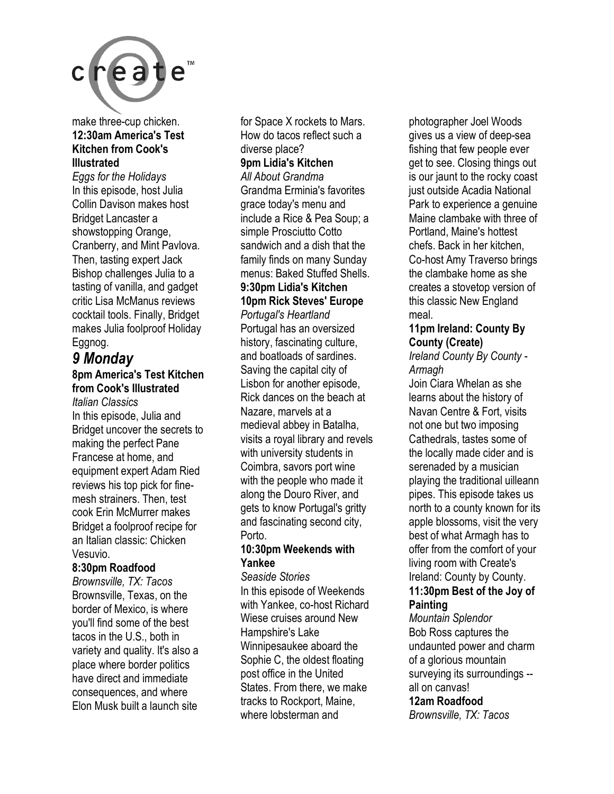

#### make three-cup chicken. **12:30am America's Test Kitchen from Cook's Illustrated**

*Eggs for the Holidays*  In this episode, host Julia Collin Davison makes host Bridget Lancaster a showstopping Orange, Cranberry, and Mint Pavlova. Then, tasting expert Jack Bishop challenges Julia to a tasting of vanilla, and gadget critic Lisa McManus reviews cocktail tools. Finally, Bridget makes Julia foolproof Holiday Eggnog.

#### *9 Monday*  **8pm America's Test Kitchen**

#### **from Cook's Illustrated**  *Italian Classics*

In this episode, Julia and Bridget uncover the secrets to making the perfect Pane Francese at home, and equipment expert Adam Ried reviews his top pick for finemesh strainers. Then, test cook Erin McMurrer makes Bridget a foolproof recipe for an Italian classic: Chicken Vesuvio.

#### **8:30pm Roadfood**

*Brownsville, TX: Tacos*  Brownsville, Texas, on the border of Mexico, is where you'll find some of the best tacos in the U.S., both in variety and quality. It's also a place where border politics have direct and immediate consequences, and where Elon Musk built a launch site

for Space X rockets to Mars. How do tacos reflect such a diverse place? **9pm Lidia's Kitchen**  *All About Grandma*  Grandma Erminia's favorites grace today's menu and include a Rice & Pea Soup; a

simple Prosciutto Cotto sandwich and a dish that the family finds on many Sunday menus: Baked Stuffed Shells.

### **9:30pm Lidia's Kitchen**

### **10pm Rick Steves' Europe**

*Portugal's Heartland*  Portugal has an oversized history, fascinating culture, and boatloads of sardines. Saving the capital city of Lisbon for another episode, Rick dances on the beach at Nazare, marvels at a medieval abbey in Batalha, visits a royal library and revels with university students in Coimbra, savors port wine with the people who made it along the Douro River, and gets to know Portugal's gritty and fascinating second city, Porto.

#### **10:30pm Weekends with Yankee**

*Seaside Stories*  In this episode of Weekends with Yankee, co-host Richard Wiese cruises around New Hampshire's Lake Winnipesaukee aboard the Sophie C, the oldest floating post office in the United States. From there, we make tracks to Rockport, Maine, where lobsterman and

photographer Joel Woods gives us a view of deep-sea fishing that few people ever get to see. Closing things out is our jaunt to the rocky coast just outside Acadia National Park to experience a genuine Maine clambake with three of Portland, Maine's hottest chefs. Back in her kitchen, Co-host Amy Traverso brings the clambake home as she creates a stovetop version of this classic New England meal.

#### **11pm Ireland: County By County (Create)**

*Ireland County By County - Armagh* 

Join Ciara Whelan as she learns about the history of Navan Centre & Fort, visits not one but two imposing Cathedrals, tastes some of the locally made cider and is serenaded by a musician playing the traditional uilleann pipes. This episode takes us north to a county known for its apple blossoms, visit the very best of what Armagh has to offer from the comfort of your living room with Create's Ireland: County by County. **11:30pm Best of the Joy of Painting** 

*Mountain Splendor*  Bob Ross captures the undaunted power and charm of a glorious mountain surveying its surroundings - all on canvas!

#### **12am Roadfood**

*Brownsville, TX: Tacos*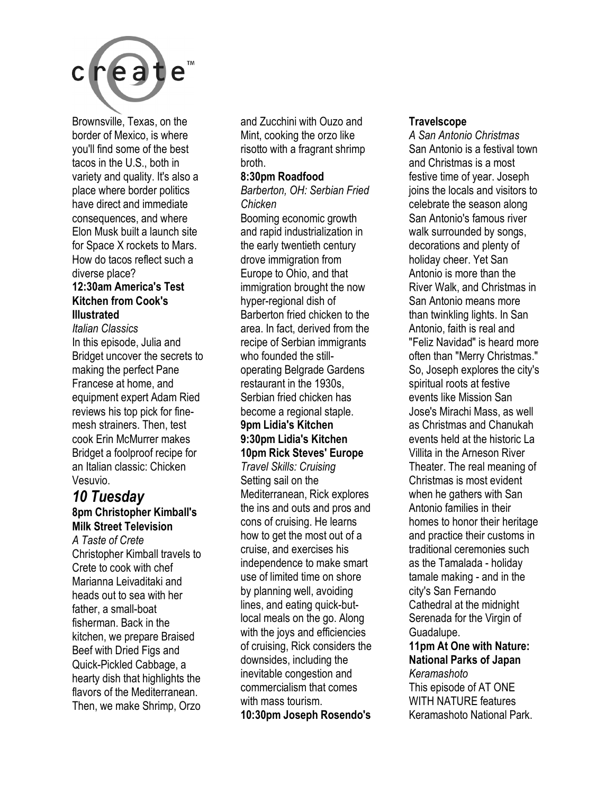

Brownsville, Texas, on the border of Mexico, is where you'll find some of the best tacos in the U.S., both in variety and quality. It's also a place where border politics have direct and immediate consequences, and where Elon Musk built a launch site for Space X rockets to Mars. How do tacos reflect such a diverse place?

#### **12:30am America's Test Kitchen from Cook's Illustrated**

*Italian Classics*  In this episode, Julia and Bridget uncover the secrets to making the perfect Pane Francese at home, and equipment expert Adam Ried reviews his top pick for finemesh strainers. Then, test cook Erin McMurrer makes Bridget a foolproof recipe for an Italian classic: Chicken Vesuvio.

#### *10 Tuesday*  **8pm Christopher Kimball's Milk Street Television**

*A Taste of Crete*  Christopher Kimball travels to Crete to cook with chef Marianna Leivaditaki and heads out to sea with her father, a small-boat fisherman. Back in the kitchen, we prepare Braised Beef with Dried Figs and Quick-Pickled Cabbage, a hearty dish that highlights the flavors of the Mediterranean. Then, we make Shrimp, Orzo

and Zucchini with Ouzo and Mint, cooking the orzo like risotto with a fragrant shrimp broth.

#### **8:30pm Roadfood**

*Barberton, OH: Serbian Fried Chicken* 

Booming economic growth and rapid industrialization in the early twentieth century drove immigration from Europe to Ohio, and that immigration brought the now hyper-regional dish of Barberton fried chicken to the area. In fact, derived from the recipe of Serbian immigrants who founded the stilloperating Belgrade Gardens restaurant in the 1930s, Serbian fried chicken has become a regional staple. **9pm Lidia's Kitchen 9:30pm Lidia's Kitchen 10pm Rick Steves' Europe**  *Travel Skills: Cruising*  Setting sail on the Mediterranean, Rick explores the ins and outs and pros and cons of cruising. He learns how to get the most out of a cruise, and exercises his independence to make smart use of limited time on shore by planning well, avoiding lines, and eating quick-butlocal meals on the go. Along with the joys and efficiencies of cruising, Rick considers the downsides, including the inevitable congestion and commercialism that comes with mass tourism.

**10:30pm Joseph Rosendo's** 

#### **Travelscope**

*A San Antonio Christmas*  San Antonio is a festival town and Christmas is a most festive time of year. Joseph joins the locals and visitors to celebrate the season along San Antonio's famous river walk surrounded by songs, decorations and plenty of holiday cheer. Yet San Antonio is more than the River Walk, and Christmas in San Antonio means more than twinkling lights. In San Antonio, faith is real and "Feliz Navidad" is heard more often than "Merry Christmas." So, Joseph explores the city's spiritual roots at festive events like Mission San Jose's Mirachi Mass, as well as Christmas and Chanukah events held at the historic La Villita in the Arneson River Theater. The real meaning of Christmas is most evident when he gathers with San Antonio families in their homes to honor their heritage and practice their customs in traditional ceremonies such as the Tamalada - holiday tamale making - and in the city's San Fernando Cathedral at the midnight Serenada for the Virgin of Guadalupe. **11pm At One with Nature:** 

**National Parks of Japan**  *Keramashoto*  This episode of AT ONE WITH NATURE features Keramashoto National Park.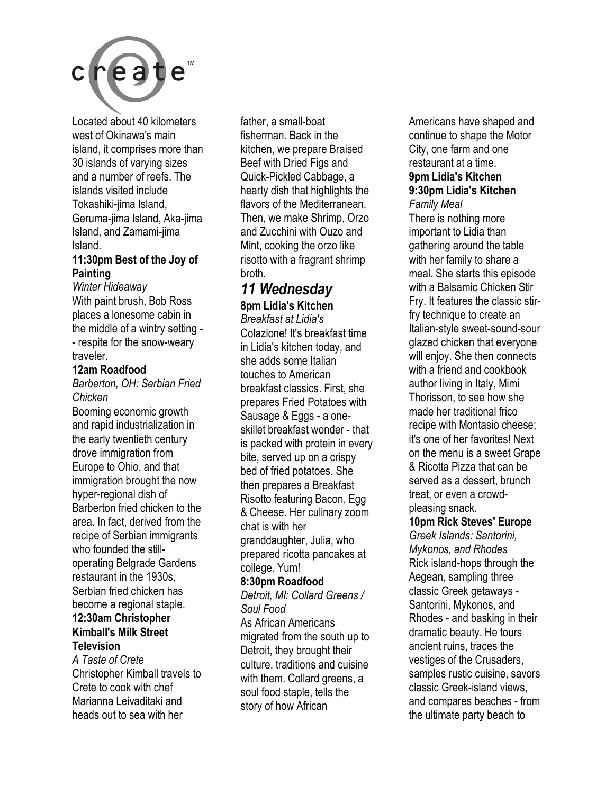

Located about 40 kilometers west of Okinawa's main island, it comprises more than 30 islands of varying sizes and a number of reefs. The islands visited include Tokashiki-jima Island, Geruma-jima Island, Aka-jima Island, and Zamami-jima Island.

#### **11:30pm Best of the Joy of Painting**

*Winter Hideaway*  With paint brush, Bob Ross places a lonesome cabin in the middle of a wintry setting - - respite for the snow-weary traveler.

#### **12am Roadfood**

*Barberton, OH: Serbian Fried Chicken* 

Booming economic growth and rapid industrialization in the early twentieth century drove immigration from Europe to Ohio, and that immigration brought the now hyper-regional dish of Barberton fried chicken to the area. In fact, derived from the recipe of Serbian immigrants who founded the stilloperating Belgrade Gardens restaurant in the 1930s, Serbian fried chicken has become a regional staple. **12:30am Christopher Kimball's Milk Street Television** 

#### *A Taste of Crete*  Christopher Kimball travels to Crete to cook with chef Marianna Leivaditaki and heads out to sea with her

father, a small-boat fisherman. Back in the kitchen, we prepare Braised Beef with Dried Figs and Quick-Pickled Cabbage, a hearty dish that highlights the flavors of the Mediterranean. Then, we make Shrimp, Orzo and Zucchini with Ouzo and Mint, cooking the orzo like risotto with a fragrant shrimp broth.

#### *11 Wednesday*  **8pm Lidia's Kitchen**

*Breakfast at Lidia's*  Colazione! It's breakfast time in Lidia's kitchen today, and she adds some Italian touches to American breakfast classics. First, she prepares Fried Potatoes with Sausage & Eggs - a oneskillet breakfast wonder - that is packed with protein in every bite, served up on a crispy bed of fried potatoes. She then prepares a Breakfast Risotto featuring Bacon, Egg & Cheese. Her culinary zoom chat is with her granddaughter, Julia, who prepared ricotta pancakes at college. Yum! **8:30pm Roadfood**  *Detroit, MI: Collard Greens / Soul Food*  As African Americans migrated from the south up to Detroit, they brought their culture, traditions and cuisine with them. Collard greens, a

soul food staple, tells the story of how African

Americans have shaped and continue to shape the Motor City, one farm and one restaurant at a time. **9pm Lidia's Kitchen 9:30pm Lidia's Kitchen**  *Family Meal* 

There is nothing more important to Lidia than gathering around the table with her family to share a meal. She starts this episode with a Balsamic Chicken Stir Fry. It features the classic stirfry technique to create an Italian-style sweet-sound-sour glazed chicken that everyone will enjoy. She then connects with a friend and cookbook author living in Italy, Mimi Thorisson, to see how she made her traditional frico recipe with Montasio cheese; it's one of her favorites! Next on the menu is a sweet Grape & Ricotta Pizza that can be served as a dessert, brunch treat, or even a crowdpleasing snack.

#### **10pm Rick Steves' Europe**

*Greek Islands: Santorini, Mykonos, and Rhodes*  Rick island-hops through the Aegean, sampling three classic Greek getaways - Santorini, Mykonos, and Rhodes - and basking in their dramatic beauty. He tours ancient ruins, traces the vestiges of the Crusaders, samples rustic cuisine, savors classic Greek-island views, and compares beaches - from the ultimate party beach to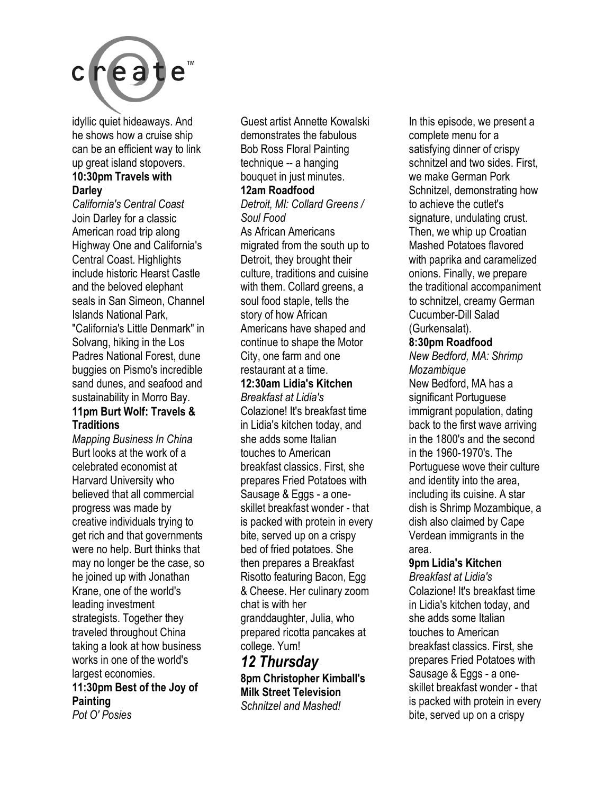

idyllic quiet hideaways. And he shows how a cruise ship can be an efficient way to link up great island stopovers. **10:30pm Travels with** 

#### **Darley**

*California's Central Coast*  Join Darley for a classic American road trip along Highway One and California's Central Coast. Highlights include historic Hearst Castle and the beloved elephant seals in San Simeon, Channel Islands National Park, "California's Little Denmark" in Solvang, hiking in the Los Padres National Forest, dune buggies on Pismo's incredible sand dunes, and seafood and sustainability in Morro Bay. **11pm Burt Wolf: Travels &** 

# **Traditions**

*Mapping Business In China*  Burt looks at the work of a celebrated economist at Harvard University who believed that all commercial progress was made by creative individuals trying to get rich and that governments were no help. Burt thinks that may no longer be the case, so he joined up with Jonathan Krane, one of the world's leading investment strategists. Together they traveled throughout China taking a look at how business works in one of the world's largest economies.

### **11:30pm Best of the Joy of Painting**

*Pot O' Posies* 

Guest artist Annette Kowalski demonstrates the fabulous Bob Ross Floral Painting technique -- a hanging bouquet in just minutes.

#### **12am Roadfood**

*Detroit, MI: Collard Greens / Soul Food* 

As African Americans migrated from the south up to Detroit, they brought their culture, traditions and cuisine with them. Collard greens, a soul food staple, tells the story of how African Americans have shaped and continue to shape the Motor City, one farm and one restaurant at a time.

#### **12:30am Lidia's Kitchen**

*Breakfast at Lidia's*  Colazione! It's breakfast time in Lidia's kitchen today, and she adds some Italian touches to American breakfast classics. First, she prepares Fried Potatoes with Sausage & Eggs - a oneskillet breakfast wonder - that is packed with protein in every bite, served up on a crispy bed of fried potatoes. She then prepares a Breakfast Risotto featuring Bacon, Egg & Cheese. Her culinary zoom chat is with her granddaughter, Julia, who prepared ricotta pancakes at college. Yum!

#### *12 Thursday*  **8pm Christopher Kimball's Milk Street Television**  *Schnitzel and Mashed!*

In this episode, we present a complete menu for a satisfying dinner of crispy schnitzel and two sides. First, we make German Pork Schnitzel, demonstrating how to achieve the cutlet's signature, undulating crust. Then, we whip up Croatian Mashed Potatoes flavored with paprika and caramelized onions. Finally, we prepare the traditional accompaniment to schnitzel, creamy German Cucumber-Dill Salad (Gurkensalat).

#### **8:30pm Roadfood**

*New Bedford, MA: Shrimp Mozambique*  New Bedford, MA has a significant Portuguese immigrant population, dating back to the first wave arriving in the 1800's and the second in the 1960-1970's. The Portuguese wove their culture and identity into the area, including its cuisine. A star dish is Shrimp Mozambique, a dish also claimed by Cape Verdean immigrants in the area.

#### **9pm Lidia's Kitchen**

*Breakfast at Lidia's*  Colazione! It's breakfast time in Lidia's kitchen today, and she adds some Italian touches to American breakfast classics. First, she prepares Fried Potatoes with Sausage & Eggs - a oneskillet breakfast wonder - that is packed with protein in every bite, served up on a crispy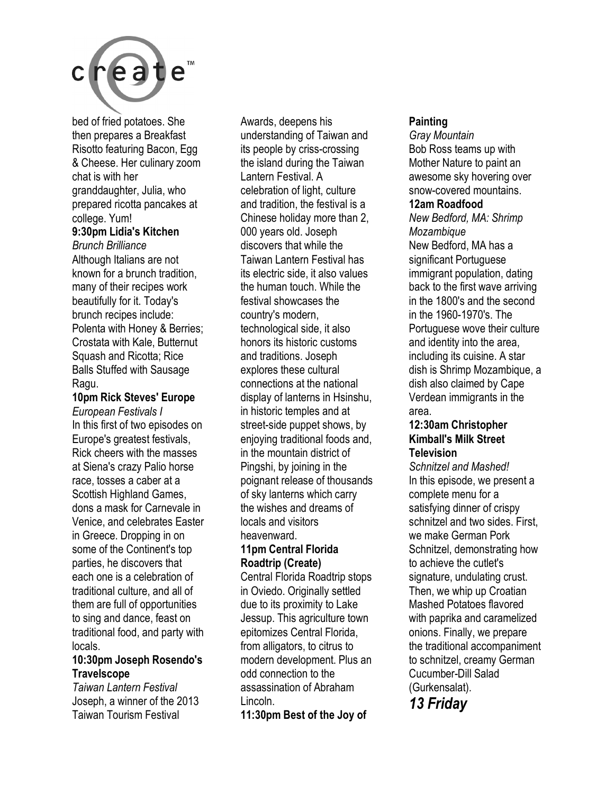

bed of fried potatoes. She then prepares a Breakfast Risotto featuring Bacon, Egg & Cheese. Her culinary zoom chat is with her granddaughter, Julia, who prepared ricotta pancakes at college. Yum! **9:30pm Lidia's Kitchen** 

*Brunch Brilliance*  Although Italians are not known for a brunch tradition, many of their recipes work beautifully for it. Today's brunch recipes include: Polenta with Honey & Berries; Crostata with Kale, Butternut Squash and Ricotta; Rice Balls Stuffed with Sausage Ragu.

**10pm Rick Steves' Europe**  *European Festivals I*  In this first of two episodes on Europe's greatest festivals, Rick cheers with the masses at Siena's crazy Palio horse race, tosses a caber at a Scottish Highland Games, dons a mask for Carnevale in Venice, and celebrates Easter in Greece. Dropping in on some of the Continent's top parties, he discovers that each one is a celebration of traditional culture, and all of them are full of opportunities to sing and dance, feast on traditional food, and party with locals.

#### **10:30pm Joseph Rosendo's Travelscope**

*Taiwan Lantern Festival*  Joseph, a winner of the 2013 Taiwan Tourism Festival

Awards, deepens his understanding of Taiwan and its people by criss-crossing the island during the Taiwan Lantern Festival. A celebration of light, culture and tradition, the festival is a Chinese holiday more than 2, 000 years old. Joseph discovers that while the Taiwan Lantern Festival has its electric side, it also values the human touch. While the festival showcases the country's modern, technological side, it also honors its historic customs and traditions. Joseph explores these cultural connections at the national display of lanterns in Hsinshu, in historic temples and at street-side puppet shows, by enjoying traditional foods and, in the mountain district of Pingshi, by joining in the poignant release of thousands of sky lanterns which carry the wishes and dreams of locals and visitors heavenward.

#### **11pm Central Florida Roadtrip (Create)**

Central Florida Roadtrip stops in Oviedo. Originally settled due to its proximity to Lake Jessup. This agriculture town epitomizes Central Florida, from alligators, to citrus to modern development. Plus an odd connection to the assassination of Abraham Lincoln.

**11:30pm Best of the Joy of** 

#### **Painting**

*Gray Mountain*  Bob Ross teams up with Mother Nature to paint an awesome sky hovering over snow-covered mountains.

#### **12am Roadfood**

*New Bedford, MA: Shrimp Mozambique*  New Bedford, MA has a significant Portuguese immigrant population, dating back to the first wave arriving in the 1800's and the second in the 1960-1970's. The Portuguese wove their culture and identity into the area, including its cuisine. A star dish is Shrimp Mozambique, a dish also claimed by Cape Verdean immigrants in the area.

#### **12:30am Christopher Kimball's Milk Street Television**

*Schnitzel and Mashed!*  In this episode, we present a complete menu for a satisfying dinner of crispy schnitzel and two sides. First, we make German Pork Schnitzel, demonstrating how to achieve the cutlet's signature, undulating crust. Then, we whip up Croatian Mashed Potatoes flavored with paprika and caramelized onions. Finally, we prepare the traditional accompaniment to schnitzel, creamy German Cucumber-Dill Salad (Gurkensalat).

*13 Friday*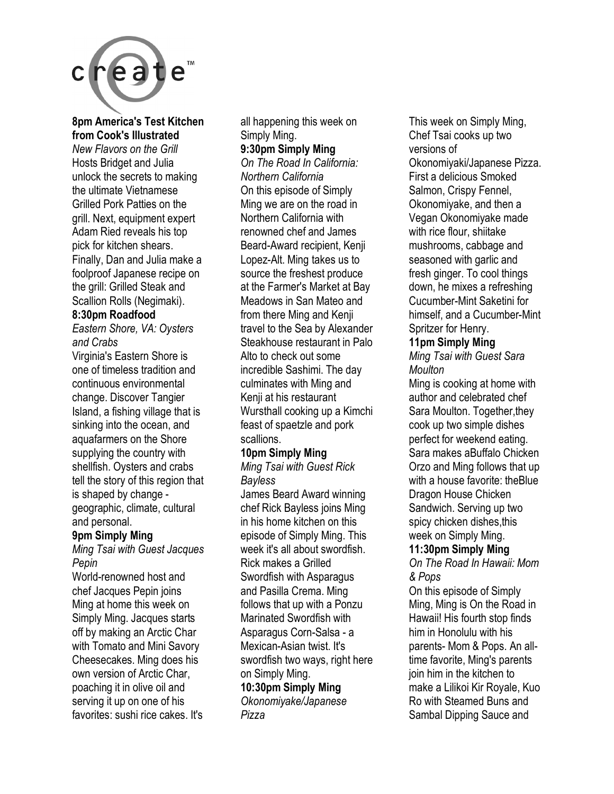

#### **8pm America's Test Kitchen from Cook's Illustrated**

*New Flavors on the Grill*  Hosts Bridget and Julia unlock the secrets to making the ultimate Vietnamese Grilled Pork Patties on the grill. Next, equipment expert Adam Ried reveals his top pick for kitchen shears. Finally, Dan and Julia make a foolproof Japanese recipe on the grill: Grilled Steak and Scallion Rolls (Negimaki).

#### **8:30pm Roadfood**

*Eastern Shore, VA: Oysters and Crabs* 

Virginia's Eastern Shore is one of timeless tradition and continuous environmental change. Discover Tangier Island, a fishing village that is sinking into the ocean, and aquafarmers on the Shore supplying the country with shellfish. Oysters and crabs tell the story of this region that is shaped by change geographic, climate, cultural and personal.

#### **9pm Simply Ming**

*Ming Tsai with Guest Jacques Pepin* 

World-renowned host and chef Jacques Pepin joins Ming at home this week on Simply Ming. Jacques starts off by making an Arctic Char with Tomato and Mini Savory Cheesecakes. Ming does his own version of Arctic Char, poaching it in olive oil and serving it up on one of his favorites: sushi rice cakes. It's all happening this week on Simply Ming.

#### **9:30pm Simply Ming**

*On The Road In California: Northern California*  On this episode of Simply Ming we are on the road in Northern California with renowned chef and James Beard-Award recipient, Kenji Lopez-Alt. Ming takes us to source the freshest produce at the Farmer's Market at Bay Meadows in San Mateo and from there Ming and Kenji travel to the Sea by Alexander Steakhouse restaurant in Palo Alto to check out some incredible Sashimi. The day culminates with Ming and Kenji at his restaurant Wursthall cooking up a Kimchi feast of spaetzle and pork scallions.

#### **10pm Simply Ming**

*Ming Tsai with Guest Rick Bayless* 

James Beard Award winning chef Rick Bayless joins Ming in his home kitchen on this episode of Simply Ming. This week it's all about swordfish. Rick makes a Grilled Swordfish with Asparagus and Pasilla Crema. Ming follows that up with a Ponzu Marinated Swordfish with Asparagus Corn-Salsa - a Mexican-Asian twist. It's swordfish two ways, right here on Simply Ming.

#### **10:30pm Simply Ming**  *Okonomiyake/Japanese*

*Pizza* 

This week on Simply Ming, Chef Tsai cooks up two versions of Okonomiyaki/Japanese Pizza. First a delicious Smoked Salmon, Crispy Fennel, Okonomiyake, and then a Vegan Okonomiyake made with rice flour, shiitake mushrooms, cabbage and seasoned with garlic and fresh ginger. To cool things down, he mixes a refreshing Cucumber-Mint Saketini for himself, and a Cucumber-Mint Spritzer for Henry.

#### **11pm Simply Ming**

*Ming Tsai with Guest Sara Moulton* 

Ming is cooking at home with author and celebrated chef Sara Moulton. Together,they cook up two simple dishes perfect for weekend eating. Sara makes aBuffalo Chicken Orzo and Ming follows that up with a house favorite: theBlue Dragon House Chicken Sandwich. Serving up two spicy chicken dishes,this week on Simply Ming.

#### **11:30pm Simply Ming**

*On The Road In Hawaii: Mom & Pops* 

On this episode of Simply Ming, Ming is On the Road in Hawaii! His fourth stop finds him in Honolulu with his parents- Mom & Pops. An alltime favorite, Ming's parents join him in the kitchen to make a Lilikoi Kir Royale, Kuo Ro with Steamed Buns and Sambal Dipping Sauce and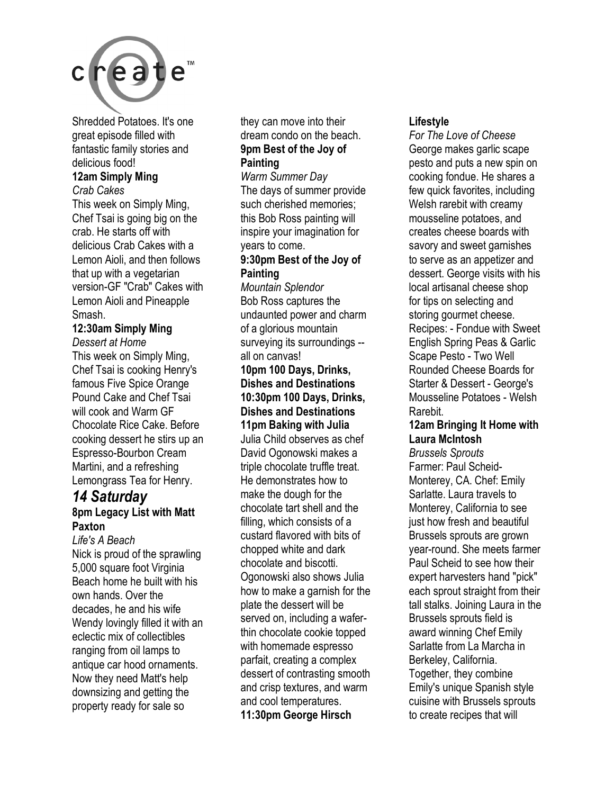

Shredded Potatoes. It's one great episode filled with fantastic family stories and delicious food!

#### **12am Simply Ming**

*Crab Cakes* 

This week on Simply Ming, Chef Tsai is going big on the crab. He starts off with delicious Crab Cakes with a Lemon Aioli, and then follows that up with a vegetarian version-GF "Crab" Cakes with Lemon Aioli and Pineapple Smash.

#### **12:30am Simply Ming**

*Dessert at Home*  This week on Simply Ming, Chef Tsai is cooking Henry's famous Five Spice Orange Pound Cake and Chef Tsai will cook and Warm GF Chocolate Rice Cake. Before cooking dessert he stirs up an Espresso-Bourbon Cream Martini, and a refreshing Lemongrass Tea for Henry.

#### *14 Saturday*  **8pm Legacy List with Matt Paxton**

*Life's A Beach*  Nick is proud of the sprawling 5,000 square foot Virginia Beach home he built with his own hands. Over the decades, he and his wife Wendy lovingly filled it with an eclectic mix of collectibles ranging from oil lamps to antique car hood ornaments. Now they need Matt's help downsizing and getting the property ready for sale so

they can move into their dream condo on the beach. **9pm Best of the Joy of Painting** 

*Warm Summer Day*  The days of summer provide such cherished memories; this Bob Ross painting will inspire your imagination for years to come.

#### **9:30pm Best of the Joy of Painting**

*Mountain Splendor*  Bob Ross captures the undaunted power and charm of a glorious mountain surveying its surroundings - all on canvas!

#### **10pm 100 Days, Drinks, Dishes and Destinations 10:30pm 100 Days, Drinks, Dishes and Destinations 11pm Baking with Julia**  Julia Child observes as chef

David Ogonowski makes a triple chocolate truffle treat. He demonstrates how to make the dough for the chocolate tart shell and the filling, which consists of a custard flavored with bits of chopped white and dark chocolate and biscotti. Ogonowski also shows Julia how to make a garnish for the plate the dessert will be served on, including a waferthin chocolate cookie topped with homemade espresso parfait, creating a complex dessert of contrasting smooth and crisp textures, and warm and cool temperatures. **11:30pm George Hirsch** 

#### **Lifestyle**

*For The Love of Cheese*  George makes garlic scape pesto and puts a new spin on cooking fondue. He shares a few quick favorites, including Welsh rarebit with creamy mousseline potatoes, and creates cheese boards with savory and sweet garnishes to serve as an appetizer and dessert. George visits with his local artisanal cheese shop for tips on selecting and storing gourmet cheese. Recipes: - Fondue with Sweet English Spring Peas & Garlic Scape Pesto - Two Well Rounded Cheese Boards for Starter & Dessert - George's Mousseline Potatoes - Welsh Rarebit.

#### **12am Bringing It Home with Laura McIntosh**

*Brussels Sprouts*  Farmer: Paul Scheid-Monterey, CA. Chef: Emily Sarlatte. Laura travels to Monterey, California to see just how fresh and beautiful Brussels sprouts are grown year-round. She meets farmer Paul Scheid to see how their expert harvesters hand "pick" each sprout straight from their tall stalks. Joining Laura in the Brussels sprouts field is award winning Chef Emily Sarlatte from La Marcha in Berkeley, California. Together, they combine Emily's unique Spanish style cuisine with Brussels sprouts to create recipes that will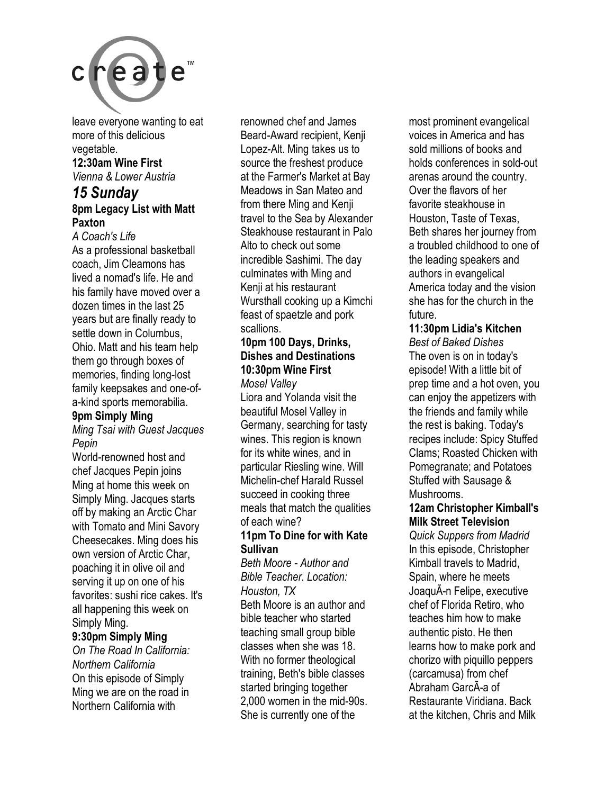

leave everyone wanting to eat more of this delicious vegetable.

#### **12:30am Wine First**  *Vienna & Lower Austria*

#### *15 Sunday*  **8pm Legacy List with Matt Paxton**

*A Coach's Life*  As a professional basketball coach, Jim Cleamons has lived a nomad's life. He and his family have moved over a dozen times in the last 25 years but are finally ready to settle down in Columbus, Ohio. Matt and his team help them go through boxes of memories, finding long-lost family keepsakes and one-ofa-kind sports memorabilia.

#### **9pm Simply Ming**

*Ming Tsai with Guest Jacques Pepin* 

World-renowned host and chef Jacques Pepin joins Ming at home this week on Simply Ming. Jacques starts off by making an Arctic Char with Tomato and Mini Savory Cheesecakes. Ming does his own version of Arctic Char, poaching it in olive oil and serving it up on one of his favorites: sushi rice cakes. It's all happening this week on Simply Ming.

#### **9:30pm Simply Ming**

*On The Road In California: Northern California*  On this episode of Simply Ming we are on the road in Northern California with

renowned chef and James Beard-Award recipient, Kenji Lopez-Alt. Ming takes us to source the freshest produce at the Farmer's Market at Bay Meadows in San Mateo and from there Ming and Kenji travel to the Sea by Alexander Steakhouse restaurant in Palo Alto to check out some incredible Sashimi. The day culminates with Ming and Kenji at his restaurant Wursthall cooking up a Kimchi feast of spaetzle and pork scallions.

#### **10pm 100 Days, Drinks, Dishes and Destinations 10:30pm Wine First**

*Mosel Valley*  Liora and Yolanda visit the beautiful Mosel Valley in Germany, searching for tasty wines. This region is known for its white wines, and in particular Riesling wine. Will Michelin-chef Harald Russel succeed in cooking three meals that match the qualities of each wine?

#### **11pm To Dine for with Kate Sullivan**

*Beth Moore - Author and Bible Teacher. Location: Houston, TX* 

Beth Moore is an author and bible teacher who started teaching small group bible classes when she was 18. With no former theological training, Beth's bible classes started bringing together 2,000 women in the mid-90s. She is currently one of the

most prominent evangelical voices in America and has sold millions of books and holds conferences in sold-out arenas around the country. Over the flavors of her favorite steakhouse in Houston, Taste of Texas, Beth shares her journey from a troubled childhood to one of the leading speakers and authors in evangelical America today and the vision she has for the church in the future.

#### **11:30pm Lidia's Kitchen**

*Best of Baked Dishes*  The oven is on in today's episode! With a little bit of prep time and a hot oven, you can enjoy the appetizers with the friends and family while the rest is baking. Today's recipes include: Spicy Stuffed Clams; Roasted Chicken with Pomegranate; and Potatoes Stuffed with Sausage & Mushrooms.

#### **12am Christopher Kimball's Milk Street Television**

*Quick Suppers from Madrid*  In this episode, Christopher Kimball travels to Madrid, Spain, where he meets JoaquÃ-n Felipe, executive chef of Florida Retiro, who teaches him how to make authentic pisto. He then learns how to make pork and chorizo with piquillo peppers (carcamusa) from chef Abraham GarcÃ-a of Restaurante Viridiana. Back at the kitchen, Chris and Milk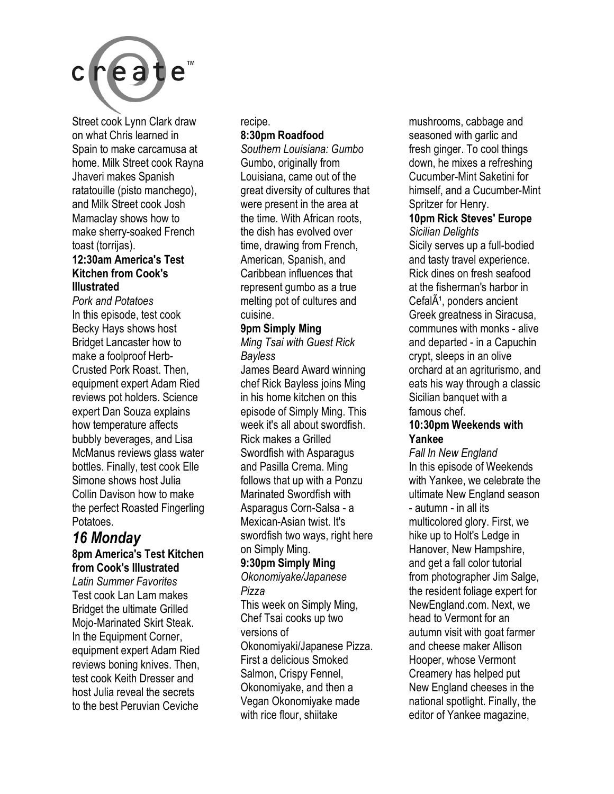

Street cook Lynn Clark draw on what Chris learned in Spain to make carcamusa at home. Milk Street cook Rayna Jhaveri makes Spanish ratatouille (pisto manchego), and Milk Street cook Josh Mamaclay shows how to make sherry-soaked French toast (torrijas).

#### **12:30am America's Test Kitchen from Cook's Illustrated**

*Pork and Potatoes*  In this episode, test cook Becky Hays shows host Bridget Lancaster how to make a foolproof Herb-Crusted Pork Roast. Then, equipment expert Adam Ried reviews pot holders. Science expert Dan Souza explains how temperature affects bubbly beverages, and Lisa McManus reviews glass water bottles. Finally, test cook Elle Simone shows host Julia Collin Davison how to make the perfect Roasted Fingerling Potatoes.

#### *16 Monday*  **8pm America's Test Kitchen**

**from Cook's Illustrated** 

*Latin Summer Favorites*  Test cook Lan Lam makes Bridget the ultimate Grilled Mojo-Marinated Skirt Steak. In the Equipment Corner, equipment expert Adam Ried reviews boning knives. Then, test cook Keith Dresser and host Julia reveal the secrets to the best Peruvian Ceviche

#### recipe. **8:30pm Roadfood**

*Southern Louisiana: Gumbo*  Gumbo, originally from Louisiana, came out of the great diversity of cultures that were present in the area at the time. With African roots, the dish has evolved over time, drawing from French, American, Spanish, and Caribbean influences that represent gumbo as a true melting pot of cultures and cuisine.

#### **9pm Simply Ming**

*Ming Tsai with Guest Rick Bayless* 

James Beard Award winning chef Rick Bayless joins Ming in his home kitchen on this episode of Simply Ming. This week it's all about swordfish. Rick makes a Grilled Swordfish with Asparagus and Pasilla Crema. Ming follows that up with a Ponzu Marinated Swordfish with Asparagus Corn-Salsa - a Mexican-Asian twist. It's swordfish two ways, right here on Simply Ming.

#### **9:30pm Simply Ming**

*Okonomiyake/Japanese Pizza* 

This week on Simply Ming, Chef Tsai cooks up two versions of Okonomiyaki/Japanese Pizza. First a delicious Smoked Salmon, Crispy Fennel, Okonomiyake, and then a Vegan Okonomiyake made with rice flour, shiitake

mushrooms, cabbage and seasoned with garlic and fresh ginger. To cool things down, he mixes a refreshing Cucumber-Mint Saketini for himself, and a Cucumber-Mint Spritzer for Henry.

#### **10pm Rick Steves' Europe**  *Sicilian Delights*

Sicily serves up a full-bodied and tasty travel experience. Rick dines on fresh seafood at the fisherman's harbor in  $Cefal <sup>$\tilde{A}$ <sup>1</sup>, ponder's ancient</sup>$ Greek greatness in Siracusa, communes with monks - alive and departed - in a Capuchin crypt, sleeps in an olive orchard at an agriturismo, and eats his way through a classic Sicilian banquet with a famous chef.

#### **10:30pm Weekends with Yankee**

*Fall In New England*  In this episode of Weekends with Yankee, we celebrate the ultimate New England season - autumn - in all its multicolored glory. First, we hike up to Holt's Ledge in Hanover, New Hampshire, and get a fall color tutorial from photographer Jim Salge, the resident foliage expert for NewEngland.com. Next, we head to Vermont for an autumn visit with goat farmer and cheese maker Allison Hooper, whose Vermont Creamery has helped put New England cheeses in the national spotlight. Finally, the editor of Yankee magazine,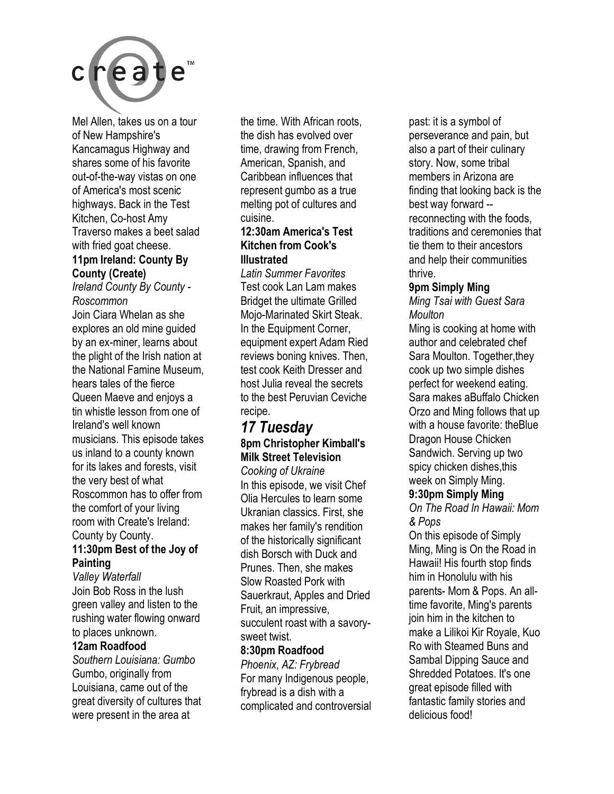

Mel Allen, takes us on a tour of New Hampshire's Kancamagus Highway and shares some of his favorite out-of-the-way vistas on one of America's most scenic highways. Back in the Test Kitchen, Co-host Amy Traverso makes a beet salad with fried goat cheese. **11pm Ireland: County By** 

### **County (Create)**

*Ireland County By County - Roscommon* 

Join Ciara Whelan as she explores an old mine guided by an ex-miner, learns about the plight of the Irish nation at the National Famine Museum, hears tales of the fierce Queen Maeve and enjoys a tin whistle lesson from one of Ireland's well known musicians. This episode takes us inland to a county known for its lakes and forests, visit the very best of what Roscommon has to offer from the comfort of your living room with Create's Ireland: County by County.

#### **11:30pm Best of the Joy of Painting**

*Valley Waterfall*  Join Bob Ross in the lush green valley and listen to the rushing water flowing onward to places unknown.

#### **12am Roadfood**

*Southern Louisiana: Gumbo*  Gumbo, originally from Louisiana, came out of the great diversity of cultures that were present in the area at

the time. With African roots, the dish has evolved over time, drawing from French, American, Spanish, and Caribbean influences that represent gumbo as a true melting pot of cultures and cuisine.

#### **12:30am America's Test Kitchen from Cook's Illustrated**

*Latin Summer Favorites*  Test cook Lan Lam makes Bridget the ultimate Grilled Mojo-Marinated Skirt Steak. In the Equipment Corner, equipment expert Adam Ried reviews boning knives. Then, test cook Keith Dresser and host Julia reveal the secrets to the best Peruvian Ceviche recipe.

### *17 Tuesday*  **8pm Christopher Kimball's Milk Street Television**

*Cooking of Ukraine*  In this episode, we visit Chef Olia Hercules to learn some Ukranian classics. First, she makes her family's rendition of the historically significant dish Borsch with Duck and Prunes. Then, she makes Slow Roasted Pork with Sauerkraut, Apples and Dried Fruit, an impressive, succulent roast with a savorysweet twist.

#### **8:30pm Roadfood**

*Phoenix, AZ: Frybread*  For many Indigenous people, frybread is a dish with a complicated and controversial past: it is a symbol of perseverance and pain, but also a part of their culinary story. Now, some tribal members in Arizona are finding that looking back is the best way forward - reconnecting with the foods, traditions and ceremonies that tie them to their ancestors and help their communities thrive.

#### **9pm Simply Ming**

*Ming Tsai with Guest Sara Moulton* 

Ming is cooking at home with author and celebrated chef Sara Moulton. Together,they cook up two simple dishes perfect for weekend eating. Sara makes aBuffalo Chicken Orzo and Ming follows that up with a house favorite: theBlue Dragon House Chicken Sandwich. Serving up two spicy chicken dishes,this week on Simply Ming.

#### **9:30pm Simply Ming**

*On The Road In Hawaii: Mom & Pops* 

On this episode of Simply Ming, Ming is On the Road in Hawaii! His fourth stop finds him in Honolulu with his parents- Mom & Pops. An alltime favorite, Ming's parents join him in the kitchen to make a Lilikoi Kir Royale, Kuo Ro with Steamed Buns and Sambal Dipping Sauce and Shredded Potatoes. It's one great episode filled with fantastic family stories and delicious food!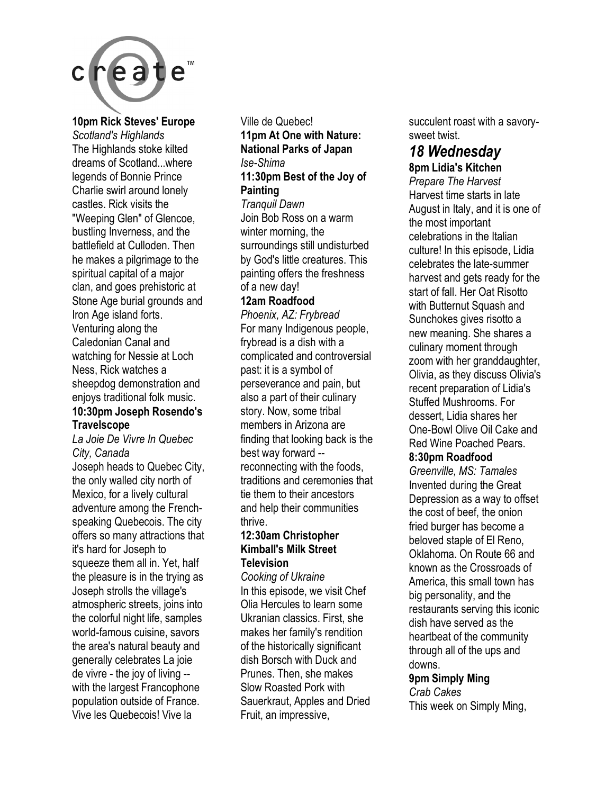

**10pm Rick Steves' Europe** 

*Scotland's Highlands*  The Highlands stoke kilted dreams of Scotland...where legends of Bonnie Prince Charlie swirl around lonely castles. Rick visits the "Weeping Glen" of Glencoe, bustling Inverness, and the battlefield at Culloden. Then he makes a pilgrimage to the spiritual capital of a major clan, and goes prehistoric at Stone Age burial grounds and Iron Age island forts. Venturing along the Caledonian Canal and watching for Nessie at Loch Ness, Rick watches a sheepdog demonstration and enjoys traditional folk music. **10:30pm Joseph Rosendo's** 

#### **Travelscope**  *La Joie De Vivre In Quebec City, Canada*

Joseph heads to Quebec City, the only walled city north of Mexico, for a lively cultural adventure among the Frenchspeaking Quebecois. The city offers so many attractions that it's hard for Joseph to squeeze them all in. Yet, half the pleasure is in the trying as Joseph strolls the village's atmospheric streets, joins into the colorful night life, samples world-famous cuisine, savors the area's natural beauty and generally celebrates La joie de vivre - the joy of living - with the largest Francophone population outside of France. Vive les Quebecois! Vive la

#### Ville de Quebec! **11pm At One with Nature: National Parks of Japan**  *Ise-Shima*  **11:30pm Best of the Joy of Painting**  *Tranquil Dawn*  Join Bob Ross on a warm winter morning, the surroundings still undisturbed by God's little creatures. This painting offers the freshness

of a new day!

**12am Roadfood** 

*Phoenix, AZ: Frybread*  For many Indigenous people, frybread is a dish with a complicated and controversial past: it is a symbol of perseverance and pain, but also a part of their culinary story. Now, some tribal members in Arizona are finding that looking back is the best way forward - reconnecting with the foods, traditions and ceremonies that tie them to their ancestors and help their communities thrive.

#### **12:30am Christopher Kimball's Milk Street Television**

*Cooking of Ukraine*  In this episode, we visit Chef Olia Hercules to learn some Ukranian classics. First, she makes her family's rendition of the historically significant dish Borsch with Duck and Prunes. Then, she makes Slow Roasted Pork with Sauerkraut, Apples and Dried Fruit, an impressive,

succulent roast with a savorysweet twist.

### *18 Wednesday*

**8pm Lidia's Kitchen** 

*Prepare The Harvest*  Harvest time starts in late August in Italy, and it is one of the most important celebrations in the Italian culture! In this episode, Lidia celebrates the late-summer harvest and gets ready for the start of fall. Her Oat Risotto with Butternut Squash and Sunchokes gives risotto a new meaning. She shares a culinary moment through zoom with her granddaughter, Olivia, as they discuss Olivia's recent preparation of Lidia's Stuffed Mushrooms. For dessert, Lidia shares her One-Bowl Olive Oil Cake and Red Wine Poached Pears. **8:30pm Roadfood** 

*Greenville, MS: Tamales*  Invented during the Great Depression as a way to offset the cost of beef, the onion fried burger has become a beloved staple of El Reno, Oklahoma. On Route 66 and known as the Crossroads of America, this small town has big personality, and the restaurants serving this iconic dish have served as the heartbeat of the community through all of the ups and downs.

#### **9pm Simply Ming**

*Crab Cakes*  This week on Simply Ming,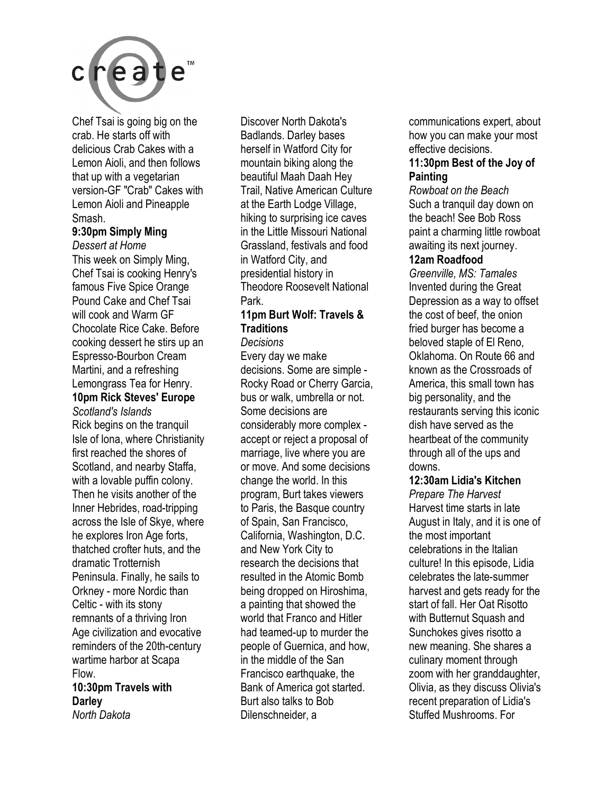

Chef Tsai is going big on the crab. He starts off with delicious Crab Cakes with a Lemon Aioli, and then follows that up with a vegetarian version-GF "Crab" Cakes with Lemon Aioli and Pineapple Smash.

#### **9:30pm Simply Ming**

*Dessert at Home*  This week on Simply Ming, Chef Tsai is cooking Henry's famous Five Spice Orange Pound Cake and Chef Tsai will cook and Warm GF Chocolate Rice Cake. Before cooking dessert he stirs up an Espresso-Bourbon Cream Martini, and a refreshing Lemongrass Tea for Henry.

### **10pm Rick Steves' Europe**

*Scotland's Islands*  Rick begins on the tranquil Isle of Iona, where Christianity first reached the shores of Scotland, and nearby Staffa, with a lovable puffin colony. Then he visits another of the Inner Hebrides, road-tripping across the Isle of Skye, where he explores Iron Age forts, thatched crofter huts, and the dramatic Trotternish Peninsula. Finally, he sails to Orkney - more Nordic than Celtic - with its stony remnants of a thriving Iron Age civilization and evocative reminders of the 20th-century wartime harbor at Scapa Flow.

#### **10:30pm Travels with Darley**  *North Dakota*

Discover North Dakota's Badlands. Darley bases herself in Watford City for mountain biking along the beautiful Maah Daah Hey Trail, Native American Culture at the Earth Lodge Village, hiking to surprising ice caves in the Little Missouri National Grassland, festivals and food in Watford City, and presidential history in Theodore Roosevelt National Park.

#### **11pm Burt Wolf: Travels & Traditions**

#### *Decisions*

Every day we make decisions. Some are simple - Rocky Road or Cherry Garcia, bus or walk, umbrella or not. Some decisions are considerably more complex accept or reject a proposal of marriage, live where you are or move. And some decisions change the world. In this program, Burt takes viewers to Paris, the Basque country of Spain, San Francisco, California, Washington, D.C. and New York City to research the decisions that resulted in the Atomic Bomb being dropped on Hiroshima, a painting that showed the world that Franco and Hitler had teamed-up to murder the people of Guernica, and how, in the middle of the San Francisco earthquake, the Bank of America got started. Burt also talks to Bob Dilenschneider, a

communications expert, about how you can make your most effective decisions.

#### **11:30pm Best of the Joy of Painting**

*Rowboat on the Beach*  Such a tranquil day down on the beach! See Bob Ross paint a charming little rowboat awaiting its next journey.

#### **12am Roadfood**

*Greenville, MS: Tamales*  Invented during the Great Depression as a way to offset the cost of beef, the onion fried burger has become a beloved staple of El Reno, Oklahoma. On Route 66 and known as the Crossroads of America, this small town has big personality, and the restaurants serving this iconic dish have served as the heartbeat of the community through all of the ups and downs.

#### **12:30am Lidia's Kitchen**

*Prepare The Harvest*  Harvest time starts in late August in Italy, and it is one of the most important celebrations in the Italian culture! In this episode, Lidia celebrates the late-summer harvest and gets ready for the start of fall. Her Oat Risotto with Butternut Squash and Sunchokes gives risotto a new meaning. She shares a culinary moment through zoom with her granddaughter, Olivia, as they discuss Olivia's recent preparation of Lidia's Stuffed Mushrooms. For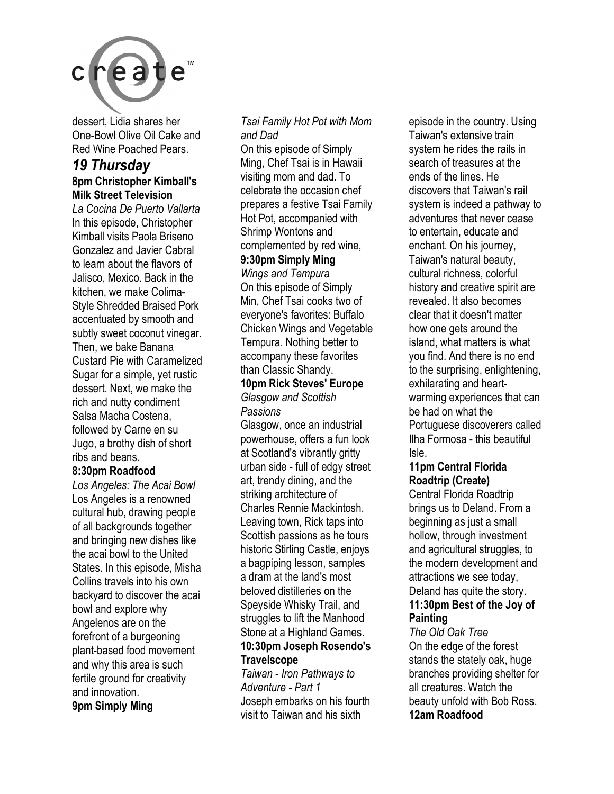

dessert, Lidia shares her One-Bowl Olive Oil Cake and Red Wine Poached Pears.

#### *19 Thursday*  **8pm Christopher Kimball's Milk Street Television**

*La Cocina De Puerto Vallarta*  In this episode, Christopher Kimball visits Paola Briseno Gonzalez and Javier Cabral to learn about the flavors of Jalisco, Mexico. Back in the kitchen, we make Colima-Style Shredded Braised Pork accentuated by smooth and subtly sweet coconut vinegar. Then, we bake Banana Custard Pie with Caramelized Sugar for a simple, yet rustic dessert. Next, we make the rich and nutty condiment Salsa Macha Costena, followed by Carne en su Jugo, a brothy dish of short ribs and beans.

#### **8:30pm Roadfood**

*Los Angeles: The Acai Bowl*  Los Angeles is a renowned cultural hub, drawing people of all backgrounds together and bringing new dishes like the acai bowl to the United States. In this episode, Misha Collins travels into his own backyard to discover the acai bowl and explore why Angelenos are on the forefront of a burgeoning plant-based food movement and why this area is such fertile ground for creativity and innovation. **9pm Simply Ming** 

#### *Tsai Family Hot Pot with Mom and Dad*

On this episode of Simply Ming, Chef Tsai is in Hawaii visiting mom and dad. To celebrate the occasion chef prepares a festive Tsai Family Hot Pot, accompanied with Shrimp Wontons and complemented by red wine,

#### **9:30pm Simply Ming**

*Wings and Tempura*  On this episode of Simply Min, Chef Tsai cooks two of everyone's favorites: Buffalo Chicken Wings and Vegetable Tempura. Nothing better to accompany these favorites than Classic Shandy. **10pm Rick Steves' Europe** 

*Glasgow and Scottish Passions* 

Glasgow, once an industrial powerhouse, offers a fun look at Scotland's vibrantly gritty urban side - full of edgy street art, trendy dining, and the striking architecture of Charles Rennie Mackintosh. Leaving town, Rick taps into Scottish passions as he tours historic Stirling Castle, enjoys a bagpiping lesson, samples a dram at the land's most beloved distilleries on the Speyside Whisky Trail, and struggles to lift the Manhood Stone at a Highland Games. **10:30pm Joseph Rosendo's** 

#### **Travelscope**

*Taiwan - Iron Pathways to Adventure - Part 1*  Joseph embarks on his fourth visit to Taiwan and his sixth

episode in the country. Using Taiwan's extensive train system he rides the rails in search of treasures at the ends of the lines. He discovers that Taiwan's rail system is indeed a pathway to adventures that never cease to entertain, educate and enchant. On his journey, Taiwan's natural beauty, cultural richness, colorful history and creative spirit are revealed. It also becomes clear that it doesn't matter how one gets around the island, what matters is what you find. And there is no end to the surprising, enlightening, exhilarating and heartwarming experiences that can be had on what the Portuguese discoverers called Ilha Formosa - this beautiful Isle.

#### **11pm Central Florida Roadtrip (Create)**

Central Florida Roadtrip brings us to Deland. From a beginning as just a small hollow, through investment and agricultural struggles, to the modern development and attractions we see today, Deland has quite the story. **11:30pm Best of the Joy of Painting** 

*The Old Oak Tree*  On the edge of the forest stands the stately oak, huge branches providing shelter for all creatures. Watch the beauty unfold with Bob Ross. **12am Roadfood**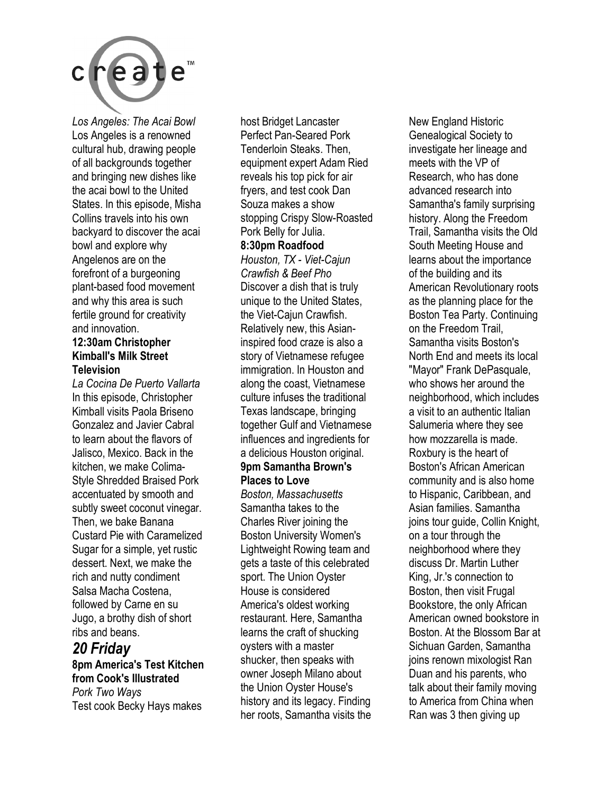

*Los Angeles: The Acai Bowl*  Los Angeles is a renowned cultural hub, drawing people of all backgrounds together and bringing new dishes like the acai bowl to the United States. In this episode, Misha Collins travels into his own backyard to discover the acai bowl and explore why Angelenos are on the forefront of a burgeoning plant-based food movement and why this area is such fertile ground for creativity and innovation. **12:30am Christopher** 

### **Kimball's Milk Street Television**

*La Cocina De Puerto Vallarta*  In this episode, Christopher Kimball visits Paola Briseno Gonzalez and Javier Cabral to learn about the flavors of Jalisco, Mexico. Back in the kitchen, we make Colima-Style Shredded Braised Pork accentuated by smooth and subtly sweet coconut vinegar. Then, we bake Banana Custard Pie with Caramelized Sugar for a simple, yet rustic dessert. Next, we make the rich and nutty condiment Salsa Macha Costena, followed by Carne en su Jugo, a brothy dish of short ribs and beans.

#### *20 Friday*  **8pm America's Test Kitchen from Cook's Illustrated**  *Pork Two Ways*  Test cook Becky Hays makes

host Bridget Lancaster Perfect Pan-Seared Pork Tenderloin Steaks. Then, equipment expert Adam Ried reveals his top pick for air fryers, and test cook Dan Souza makes a show stopping Crispy Slow-Roasted Pork Belly for Julia.

#### **8:30pm Roadfood**

*Houston, TX - Viet-Cajun Crawfish & Beef Pho*  Discover a dish that is truly unique to the United States, the Viet-Cajun Crawfish. Relatively new, this Asianinspired food craze is also a story of Vietnamese refugee immigration. In Houston and along the coast, Vietnamese culture infuses the traditional Texas landscape, bringing together Gulf and Vietnamese influences and ingredients for a delicious Houston original. **9pm Samantha Brown's Places to Love** 

*Boston, Massachusetts*  Samantha takes to the Charles River joining the Boston University Women's Lightweight Rowing team and gets a taste of this celebrated sport. The Union Oyster House is considered America's oldest working restaurant. Here, Samantha learns the craft of shucking oysters with a master shucker, then speaks with owner Joseph Milano about the Union Oyster House's history and its legacy. Finding her roots, Samantha visits the

New England Historic Genealogical Society to investigate her lineage and meets with the VP of Research, who has done advanced research into Samantha's family surprising history. Along the Freedom Trail, Samantha visits the Old South Meeting House and learns about the importance of the building and its American Revolutionary roots as the planning place for the Boston Tea Party. Continuing on the Freedom Trail, Samantha visits Boston's North End and meets its local "Mayor" Frank DePasquale, who shows her around the neighborhood, which includes a visit to an authentic Italian Salumeria where they see how mozzarella is made. Roxbury is the heart of Boston's African American community and is also home to Hispanic, Caribbean, and Asian families. Samantha joins tour guide, Collin Knight, on a tour through the neighborhood where they discuss Dr. Martin Luther King, Jr.'s connection to Boston, then visit Frugal Bookstore, the only African American owned bookstore in Boston. At the Blossom Bar at Sichuan Garden, Samantha joins renown mixologist Ran Duan and his parents, who talk about their family moving to America from China when Ran was 3 then giving up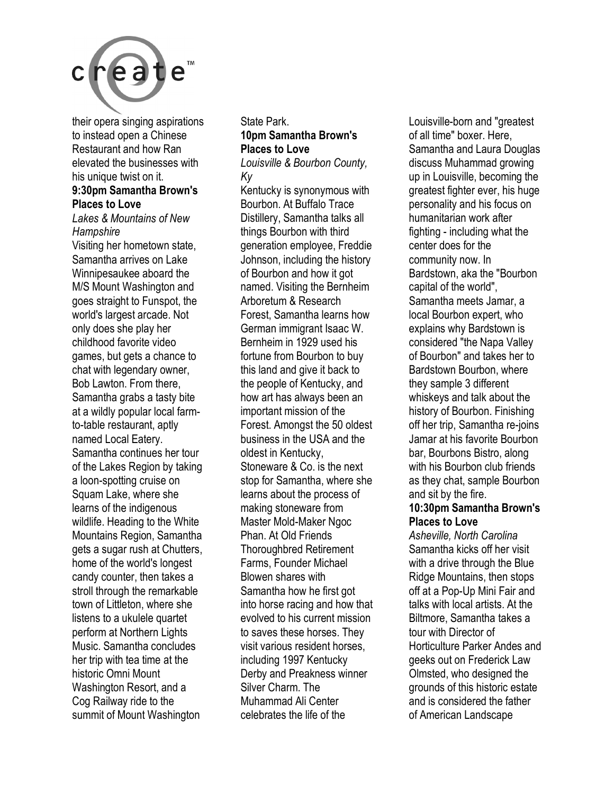

their opera singing aspirations to instead open a Chinese Restaurant and how Ran elevated the businesses with his unique twist on it.

#### **9:30pm Samantha Brown's Places to Love**

*Lakes & Mountains of New Hampshire* 

Visiting her hometown state, Samantha arrives on Lake Winnipesaukee aboard the M/S Mount Washington and goes straight to Funspot, the world's largest arcade. Not only does she play her childhood favorite video games, but gets a chance to chat with legendary owner, Bob Lawton. From there, Samantha grabs a tasty bite at a wildly popular local farmto-table restaurant, aptly named Local Eatery. Samantha continues her tour of the Lakes Region by taking a loon-spotting cruise on Squam Lake, where she learns of the indigenous wildlife. Heading to the White Mountains Region, Samantha gets a sugar rush at Chutters, home of the world's longest candy counter, then takes a stroll through the remarkable town of Littleton, where she listens to a ukulele quartet perform at Northern Lights Music. Samantha concludes her trip with tea time at the historic Omni Mount Washington Resort, and a Cog Railway ride to the summit of Mount Washington

State Park. **10pm Samantha Brown's Places to Love** 

*Louisville & Bourbon County, Ky* 

Kentucky is synonymous with Bourbon. At Buffalo Trace Distillery, Samantha talks all things Bourbon with third generation employee, Freddie Johnson, including the history of Bourbon and how it got named. Visiting the Bernheim Arboretum & Research Forest, Samantha learns how German immigrant Isaac W. Bernheim in 1929 used his fortune from Bourbon to buy this land and give it back to the people of Kentucky, and how art has always been an important mission of the Forest. Amongst the 50 oldest business in the USA and the oldest in Kentucky, Stoneware & Co. is the next stop for Samantha, where she learns about the process of making stoneware from Master Mold-Maker Ngoc Phan. At Old Friends Thoroughbred Retirement Farms, Founder Michael Blowen shares with Samantha how he first got into horse racing and how that evolved to his current mission to saves these horses. They visit various resident horses, including 1997 Kentucky Derby and Preakness winner Silver Charm. The Muhammad Ali Center celebrates the life of the

Louisville-born and "greatest of all time" boxer. Here Samantha and Laura Douglas discuss Muhammad growing up in Louisville, becoming the greatest fighter ever, his huge personality and his focus on humanitarian work after fighting - including what the center does for the community now. In Bardstown, aka the "Bourbon capital of the world", Samantha meets Jamar, a local Bourbon expert, who explains why Bardstown is considered "the Napa Valley of Bourbon" and takes her to Bardstown Bourbon, where they sample 3 different whiskeys and talk about the history of Bourbon. Finishing off her trip, Samantha re-joins Jamar at his favorite Bourbon bar, Bourbons Bistro, along with his Bourbon club friends as they chat, sample Bourbon and sit by the fire.

#### **10:30pm Samantha Brown's Places to Love**

*Asheville, North Carolina*  Samantha kicks off her visit with a drive through the Blue Ridge Mountains, then stops off at a Pop-Up Mini Fair and talks with local artists. At the Biltmore, Samantha takes a tour with Director of Horticulture Parker Andes and geeks out on Frederick Law Olmsted, who designed the grounds of this historic estate and is considered the father of American Landscape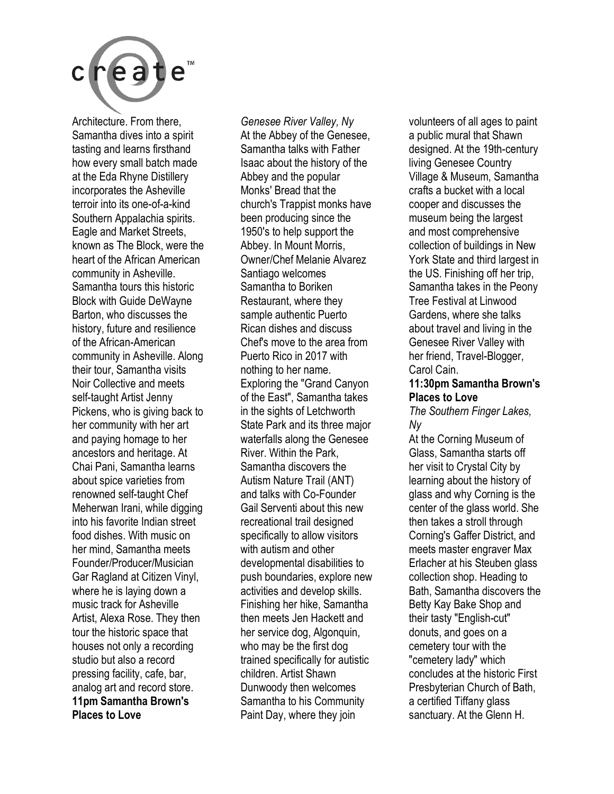

Architecture. From there, Samantha dives into a spirit tasting and learns firsthand how every small batch made at the Eda Rhyne Distillery incorporates the Asheville terroir into its one-of-a-kind Southern Appalachia spirits. Eagle and Market Streets, known as The Block, were the heart of the African American community in Asheville. Samantha tours this historic Block with Guide DeWayne Barton, who discusses the history, future and resilience of the African-American community in Asheville. Along their tour, Samantha visits Noir Collective and meets self-taught Artist Jenny Pickens, who is giving back to her community with her art and paying homage to her ancestors and heritage. At Chai Pani, Samantha learns about spice varieties from renowned self-taught Chef Meherwan Irani, while digging into his favorite Indian street food dishes. With music on her mind, Samantha meets Founder/Producer/Musician Gar Ragland at Citizen Vinyl, where he is laying down a music track for Asheville Artist, Alexa Rose. They then tour the historic space that houses not only a recording studio but also a record pressing facility, cafe, bar, analog art and record store. **11pm Samantha Brown's Places to Love** 

*Genesee River Valley, Ny*  At the Abbey of the Genesee, Samantha talks with Father Isaac about the history of the Abbey and the popular Monks' Bread that the church's Trappist monks have been producing since the 1950's to help support the Abbey. In Mount Morris, Owner/Chef Melanie Alvarez Santiago welcomes Samantha to Boriken Restaurant, where they sample authentic Puerto Rican dishes and discuss Chef's move to the area from Puerto Rico in 2017 with nothing to her name. Exploring the "Grand Canyon of the East", Samantha takes in the sights of Letchworth State Park and its three major waterfalls along the Genesee River. Within the Park, Samantha discovers the Autism Nature Trail (ANT) and talks with Co-Founder Gail Serventi about this new recreational trail designed specifically to allow visitors with autism and other developmental disabilities to push boundaries, explore new activities and develop skills. Finishing her hike, Samantha then meets Jen Hackett and her service dog, Algonquin, who may be the first dog trained specifically for autistic children. Artist Shawn Dunwoody then welcomes Samantha to his Community Paint Day, where they join

volunteers of all ages to paint a public mural that Shawn designed. At the 19th-century living Genesee Country Village & Museum, Samantha crafts a bucket with a local cooper and discusses the museum being the largest and most comprehensive collection of buildings in New York State and third largest in the US. Finishing off her trip, Samantha takes in the Peony Tree Festival at Linwood Gardens, where she talks about travel and living in the Genesee River Valley with her friend, Travel-Blogger, Carol Cain.

#### **11:30pm Samantha Brown's Places to Love**

*The Southern Finger Lakes, Ny* 

At the Corning Museum of Glass, Samantha starts off her visit to Crystal City by learning about the history of glass and why Corning is the center of the glass world. She then takes a stroll through Corning's Gaffer District, and meets master engraver Max Erlacher at his Steuben glass collection shop. Heading to Bath, Samantha discovers the Betty Kay Bake Shop and their tasty "English-cut" donuts, and goes on a cemetery tour with the "cemetery lady" which concludes at the historic First Presbyterian Church of Bath, a certified Tiffany glass sanctuary. At the Glenn H.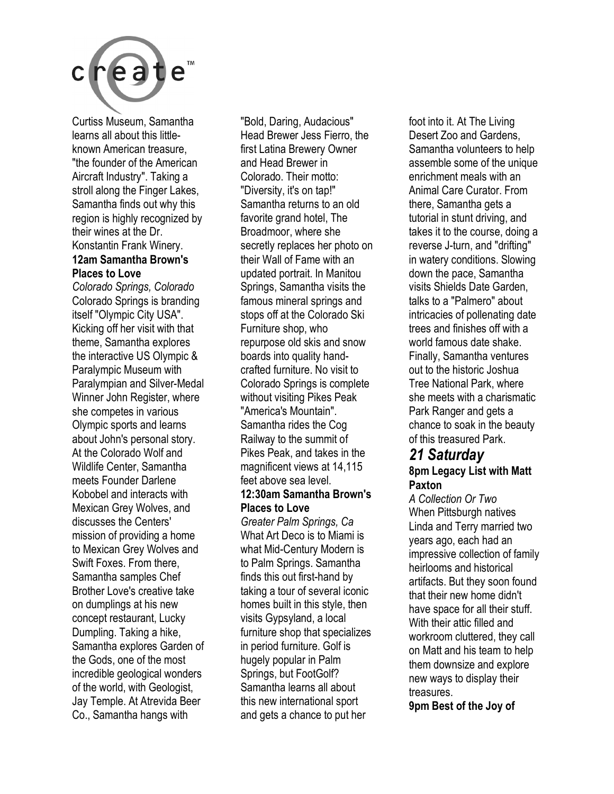

Curtiss Museum, Samantha learns all about this littleknown American treasure, "the founder of the American Aircraft Industry". Taking a stroll along the Finger Lakes, Samantha finds out why this region is highly recognized by their wines at the Dr. Konstantin Frank Winery.

#### **12am Samantha Brown's Places to Love**

*Colorado Springs, Colorado*  Colorado Springs is branding itself "Olympic City USA". Kicking off her visit with that theme, Samantha explores the interactive US Olympic & Paralympic Museum with Paralympian and Silver-Medal Winner John Register, where she competes in various Olympic sports and learns about John's personal story. At the Colorado Wolf and Wildlife Center, Samantha meets Founder Darlene Kobobel and interacts with Mexican Grey Wolves, and discusses the Centers' mission of providing a home to Mexican Grey Wolves and Swift Foxes. From there, Samantha samples Chef Brother Love's creative take on dumplings at his new concept restaurant, Lucky Dumpling. Taking a hike, Samantha explores Garden of the Gods, one of the most incredible geological wonders of the world, with Geologist, Jay Temple. At Atrevida Beer Co., Samantha hangs with

"Bold, Daring, Audacious" Head Brewer Jess Fierro, the first Latina Brewery Owner and Head Brewer in Colorado. Their motto: "Diversity, it's on tap!" Samantha returns to an old favorite grand hotel, The Broadmoor, where she secretly replaces her photo on their Wall of Fame with an updated portrait. In Manitou Springs, Samantha visits the famous mineral springs and stops off at the Colorado Ski Furniture shop, who repurpose old skis and snow boards into quality handcrafted furniture. No visit to Colorado Springs is complete without visiting Pikes Peak "America's Mountain". Samantha rides the Cog Railway to the summit of Pikes Peak, and takes in the magnificent views at 14,115 feet above sea level.

#### **12:30am Samantha Brown's Places to Love**

*Greater Palm Springs, Ca*  What Art Deco is to Miami is what Mid-Century Modern is to Palm Springs. Samantha finds this out first-hand by taking a tour of several iconic homes built in this style, then visits Gypsyland, a local furniture shop that specializes in period furniture. Golf is hugely popular in Palm Springs, but FootGolf? Samantha learns all about this new international sport and gets a chance to put her

foot into it. At The Living Desert Zoo and Gardens, Samantha volunteers to help assemble some of the unique enrichment meals with an Animal Care Curator. From there, Samantha gets a tutorial in stunt driving, and takes it to the course, doing a reverse J-turn, and "drifting" in watery conditions. Slowing down the pace, Samantha visits Shields Date Garden, talks to a "Palmero" about intricacies of pollenating date trees and finishes off with a world famous date shake. Finally, Samantha ventures out to the historic Joshua Tree National Park, where she meets with a charismatic Park Ranger and gets a chance to soak in the beauty of this treasured Park.

#### *21 Saturday*  **8pm Legacy List with Matt Paxton**

*A Collection Or Two*  When Pittsburgh natives Linda and Terry married two years ago, each had an impressive collection of family heirlooms and historical artifacts. But they soon found that their new home didn't have space for all their stuff. With their attic filled and workroom cluttered, they call on Matt and his team to help them downsize and explore new ways to display their treasures.

**9pm Best of the Joy of**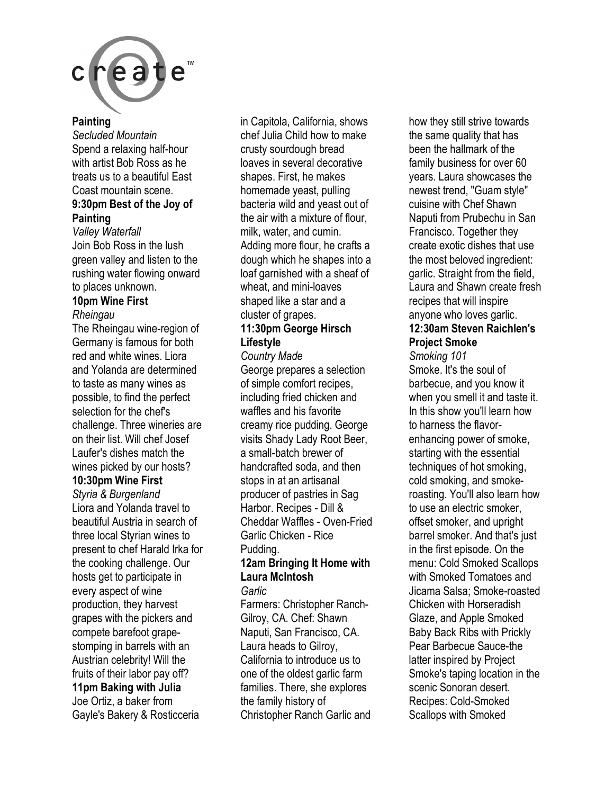

#### **Painting**

*Secluded Mountain*  Spend a relaxing half-hour with artist Bob Ross as he treats us to a beautiful East Coast mountain scene.

#### **9:30pm Best of the Joy of Painting**

*Valley Waterfall*  Join Bob Ross in the lush green valley and listen to the rushing water flowing onward to places unknown.

#### **10pm Wine First**  *Rheingau*

The Rheingau wine-region of Germany is famous for both red and white wines. Liora and Yolanda are determined to taste as many wines as possible, to find the perfect selection for the chef's challenge. Three wineries are on their list. Will chef Josef Laufer's dishes match the wines picked by our hosts?

#### **10:30pm Wine First**

*Styria & Burgenland*  Liora and Yolanda travel to beautiful Austria in search of three local Styrian wines to present to chef Harald Irka for the cooking challenge. Our hosts get to participate in every aspect of wine production, they harvest grapes with the pickers and compete barefoot grapestomping in barrels with an Austrian celebrity! Will the fruits of their labor pay off? **11pm Baking with Julia**  Joe Ortiz, a baker from Gayle's Bakery & Rosticceria

in Capitola, California, shows chef Julia Child how to make crusty sourdough bread loaves in several decorative shapes. First, he makes homemade yeast, pulling bacteria wild and yeast out of the air with a mixture of flour, milk, water, and cumin. Adding more flour, he crafts a dough which he shapes into a loaf garnished with a sheaf of wheat, and mini-loaves shaped like a star and a cluster of grapes.

#### **11:30pm George Hirsch Lifestyle**

*Country Made*  George prepares a selection of simple comfort recipes, including fried chicken and waffles and his favorite creamy rice pudding. George visits Shady Lady Root Beer, a small-batch brewer of handcrafted soda, and then stops in at an artisanal producer of pastries in Sag Harbor. Recipes - Dill & Cheddar Waffles - Oven-Fried Garlic Chicken - Rice Pudding.

### **12am Bringing It Home with Laura McIntosh**

*Garlic* 

Farmers: Christopher Ranch-Gilroy, CA. Chef: Shawn Naputi, San Francisco, CA. Laura heads to Gilroy, California to introduce us to one of the oldest garlic farm families. There, she explores the family history of Christopher Ranch Garlic and how they still strive towards the same quality that has been the hallmark of the family business for over 60 years. Laura showcases the newest trend, "Guam style" cuisine with Chef Shawn Naputi from Prubechu in San Francisco. Together they create exotic dishes that use the most beloved ingredient: garlic. Straight from the field, Laura and Shawn create fresh recipes that will inspire anyone who loves garlic. **12:30am Steven Raichlen's** 

### **Project Smoke**  *Smoking 101*

Smoke. It's the soul of barbecue, and you know it when you smell it and taste it. In this show you'll learn how to harness the flavorenhancing power of smoke, starting with the essential techniques of hot smoking, cold smoking, and smokeroasting. You'll also learn how to use an electric smoker, offset smoker, and upright barrel smoker. And that's just in the first episode. On the menu: Cold Smoked Scallops with Smoked Tomatoes and Jicama Salsa; Smoke-roasted Chicken with Horseradish Glaze, and Apple Smoked Baby Back Ribs with Prickly Pear Barbecue Sauce-the latter inspired by Project Smoke's taping location in the scenic Sonoran desert. Recipes: Cold-Smoked Scallops with Smoked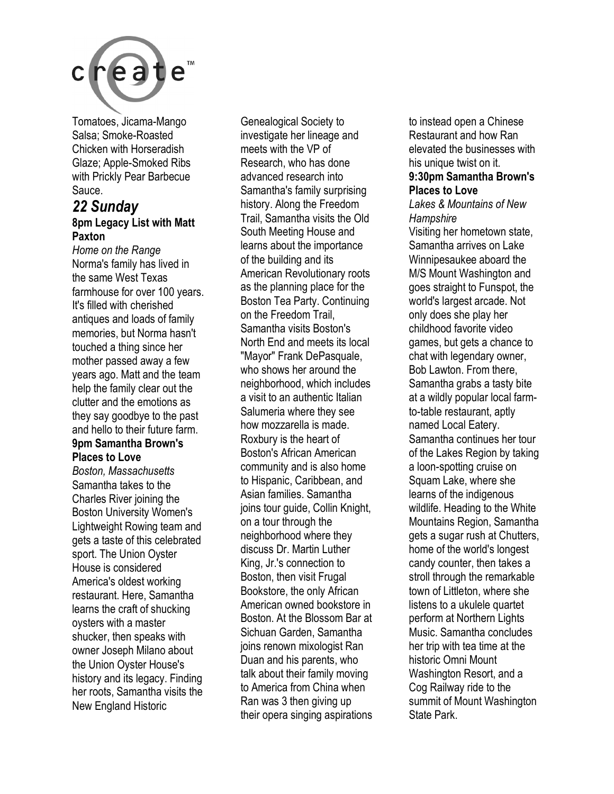

Tomatoes, Jicama-Mango Salsa; Smoke-Roasted Chicken with Horseradish Glaze; Apple-Smoked Ribs with Prickly Pear Barbecue Sauce.

#### *22 Sunday*  **8pm Legacy List with Matt Paxton**

*Home on the Range*  Norma's family has lived in the same West Texas farmhouse for over 100 years. It's filled with cherished antiques and loads of family memories, but Norma hasn't touched a thing since her mother passed away a few years ago. Matt and the team help the family clear out the clutter and the emotions as they say goodbye to the past and hello to their future farm.

#### **9pm Samantha Brown's Places to Love**

*Boston, Massachusetts*  Samantha takes to the Charles River joining the Boston University Women's Lightweight Rowing team and gets a taste of this celebrated sport. The Union Oyster House is considered America's oldest working restaurant. Here, Samantha learns the craft of shucking oysters with a master shucker, then speaks with owner Joseph Milano about the Union Oyster House's history and its legacy. Finding her roots, Samantha visits the New England Historic

Genealogical Society to investigate her lineage and meets with the VP of Research, who has done advanced research into Samantha's family surprising history. Along the Freedom Trail, Samantha visits the Old South Meeting House and learns about the importance of the building and its American Revolutionary roots as the planning place for the Boston Tea Party. Continuing on the Freedom Trail, Samantha visits Boston's North End and meets its local "Mayor" Frank DePasquale, who shows her around the neighborhood, which includes a visit to an authentic Italian Salumeria where they see how mozzarella is made. Roxbury is the heart of Boston's African American community and is also home to Hispanic, Caribbean, and Asian families. Samantha joins tour guide, Collin Knight, on a tour through the neighborhood where they discuss Dr. Martin Luther King, Jr.'s connection to Boston, then visit Frugal Bookstore, the only African American owned bookstore in Boston. At the Blossom Bar at Sichuan Garden, Samantha joins renown mixologist Ran Duan and his parents, who talk about their family moving to America from China when Ran was 3 then giving up their opera singing aspirations to instead open a Chinese Restaurant and how Ran elevated the businesses with his unique twist on it. **9:30pm Samantha Brown's** 

### **Places to Love**

*Lakes & Mountains of New Hampshire* 

Visiting her hometown state, Samantha arrives on Lake Winnipesaukee aboard the M/S Mount Washington and goes straight to Funspot, the world's largest arcade. Not only does she play her childhood favorite video games, but gets a chance to chat with legendary owner, Bob Lawton. From there, Samantha grabs a tasty bite at a wildly popular local farmto-table restaurant, aptly named Local Eatery. Samantha continues her tour of the Lakes Region by taking a loon-spotting cruise on Squam Lake, where she learns of the indigenous wildlife. Heading to the White Mountains Region, Samantha gets a sugar rush at Chutters, home of the world's longest candy counter, then takes a stroll through the remarkable town of Littleton, where she listens to a ukulele quartet perform at Northern Lights Music. Samantha concludes her trip with tea time at the historic Omni Mount Washington Resort, and a Cog Railway ride to the summit of Mount Washington State Park.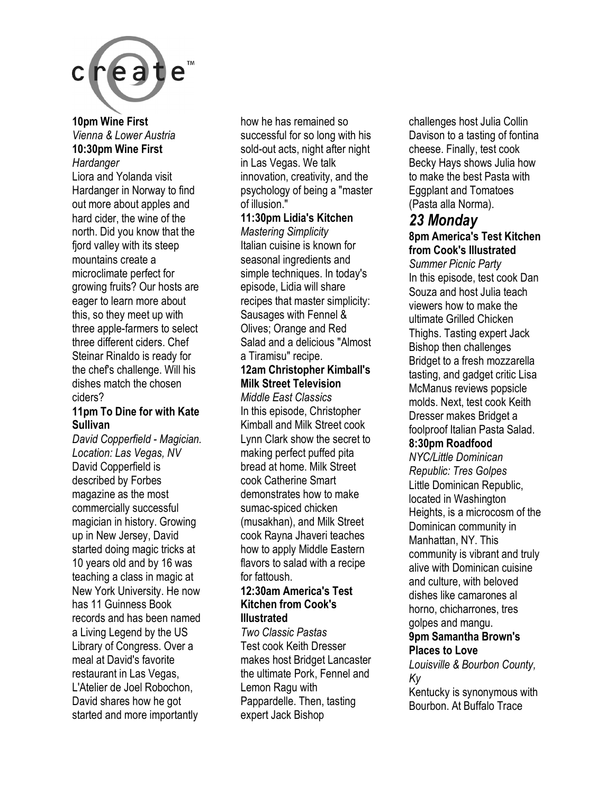

**10pm Wine First**  *Vienna & Lower Austria*  **10:30pm Wine First**  *Hardanger* 

Liora and Yolanda visit Hardanger in Norway to find out more about apples and hard cider, the wine of the north. Did you know that the fjord valley with its steep mountains create a microclimate perfect for growing fruits? Our hosts are eager to learn more about this, so they meet up with three apple-farmers to select three different ciders. Chef Steinar Rinaldo is ready for the chef's challenge. Will his dishes match the chosen ciders?

#### **11pm To Dine for with Kate Sullivan**

*David Copperfield - Magician. Location: Las Vegas, NV*  David Copperfield is described by Forbes magazine as the most commercially successful magician in history. Growing up in New Jersey, David started doing magic tricks at 10 years old and by 16 was teaching a class in magic at New York University. He now has 11 Guinness Book records and has been named a Living Legend by the US Library of Congress. Over a meal at David's favorite restaurant in Las Vegas, L'Atelier de Joel Robochon, David shares how he got started and more importantly

how he has remained so successful for so long with his sold-out acts, night after night in Las Vegas. We talk innovation, creativity, and the psychology of being a "master of illusion."

#### **11:30pm Lidia's Kitchen**

*Mastering Simplicity*  Italian cuisine is known for seasonal ingredients and simple techniques. In today's episode, Lidia will share recipes that master simplicity: Sausages with Fennel & Olives; Orange and Red Salad and a delicious "Almost a Tiramisu" recipe.

#### **12am Christopher Kimball's Milk Street Television**

*Middle East Classics*  In this episode, Christopher Kimball and Milk Street cook Lynn Clark show the secret to making perfect puffed pita bread at home. Milk Street cook Catherine Smart demonstrates how to make sumac-spiced chicken (musakhan), and Milk Street cook Rayna Jhaveri teaches how to apply Middle Eastern flavors to salad with a recipe for fattoush.

#### **12:30am America's Test Kitchen from Cook's Illustrated**

*Two Classic Pastas*  Test cook Keith Dresser makes host Bridget Lancaster the ultimate Pork, Fennel and Lemon Ragu with Pappardelle. Then, tasting expert Jack Bishop

challenges host Julia Collin Davison to a tasting of fontina cheese. Finally, test cook Becky Hays shows Julia how to make the best Pasta with Eggplant and Tomatoes (Pasta alla Norma).

### *23 Monday*

#### **8pm America's Test Kitchen from Cook's Illustrated**

*Summer Picnic Party*  In this episode, test cook Dan Souza and host Julia teach viewers how to make the ultimate Grilled Chicken Thighs. Tasting expert Jack Bishop then challenges Bridget to a fresh mozzarella tasting, and gadget critic Lisa McManus reviews popsicle molds. Next, test cook Keith Dresser makes Bridget a foolproof Italian Pasta Salad.

#### **8:30pm Roadfood**

*NYC/Little Dominican Republic: Tres Golpes*  Little Dominican Republic, located in Washington Heights, is a microcosm of the Dominican community in Manhattan, NY. This community is vibrant and truly alive with Dominican cuisine and culture, with beloved dishes like camarones al horno, chicharrones, tres golpes and mangu.

#### **9pm Samantha Brown's Places to Love**

*Louisville & Bourbon County, Ky* 

Kentucky is synonymous with Bourbon. At Buffalo Trace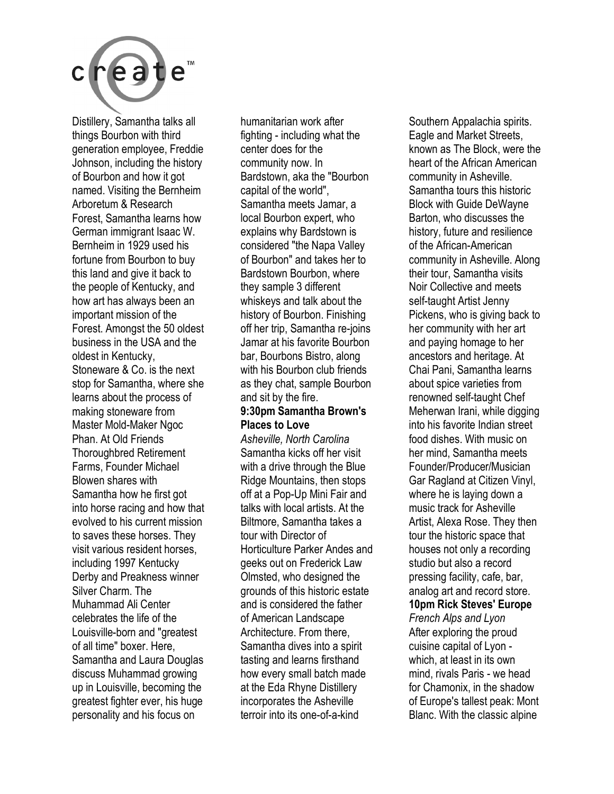

Distillery, Samantha talks all things Bourbon with third generation employee, Freddie Johnson, including the history of Bourbon and how it got named. Visiting the Bernheim Arboretum & Research Forest, Samantha learns how German immigrant Isaac W. Bernheim in 1929 used his fortune from Bourbon to buy this land and give it back to the people of Kentucky, and how art has always been an important mission of the Forest. Amongst the 50 oldest business in the USA and the oldest in Kentucky, Stoneware & Co. is the next stop for Samantha, where she learns about the process of making stoneware from Master Mold-Maker Ngoc Phan. At Old Friends Thoroughbred Retirement Farms, Founder Michael Blowen shares with Samantha how he first got into horse racing and how that evolved to his current mission to saves these horses. They visit various resident horses, including 1997 Kentucky Derby and Preakness winner Silver Charm. The Muhammad Ali Center celebrates the life of the Louisville-born and "greatest of all time" boxer. Here, Samantha and Laura Douglas discuss Muhammad growing up in Louisville, becoming the greatest fighter ever, his huge personality and his focus on

humanitarian work after fighting - including what the center does for the community now. In Bardstown, aka the "Bourbon capital of the world", Samantha meets Jamar, a local Bourbon expert, who explains why Bardstown is considered "the Napa Valley of Bourbon" and takes her to Bardstown Bourbon, where they sample 3 different whiskeys and talk about the history of Bourbon. Finishing off her trip, Samantha re-joins Jamar at his favorite Bourbon bar, Bourbons Bistro, along with his Bourbon club friends as they chat, sample Bourbon and sit by the fire.

#### **9:30pm Samantha Brown's Places to Love**

*Asheville, North Carolina*  Samantha kicks off her visit with a drive through the Blue Ridge Mountains, then stops off at a Pop-Up Mini Fair and talks with local artists. At the Biltmore, Samantha takes a tour with Director of Horticulture Parker Andes and geeks out on Frederick Law Olmsted, who designed the grounds of this historic estate and is considered the father of American Landscape Architecture. From there, Samantha dives into a spirit tasting and learns firsthand how every small batch made at the Eda Rhyne Distillery incorporates the Asheville terroir into its one-of-a-kind

Southern Appalachia spirits. Eagle and Market Streets, known as The Block, were the heart of the African American community in Asheville. Samantha tours this historic Block with Guide DeWayne Barton, who discusses the history, future and resilience of the African-American community in Asheville. Along their tour, Samantha visits Noir Collective and meets self-taught Artist Jenny Pickens, who is giving back to her community with her art and paying homage to her ancestors and heritage. At Chai Pani, Samantha learns about spice varieties from renowned self-taught Chef Meherwan Irani, while digging into his favorite Indian street food dishes. With music on her mind, Samantha meets Founder/Producer/Musician Gar Ragland at Citizen Vinyl, where he is laying down a music track for Asheville Artist, Alexa Rose. They then tour the historic space that houses not only a recording studio but also a record pressing facility, cafe, bar, analog art and record store. **10pm Rick Steves' Europe**  *French Alps and Lyon*  After exploring the proud cuisine capital of Lyon which, at least in its own

mind, rivals Paris - we head for Chamonix, in the shadow of Europe's tallest peak: Mont Blanc. With the classic alpine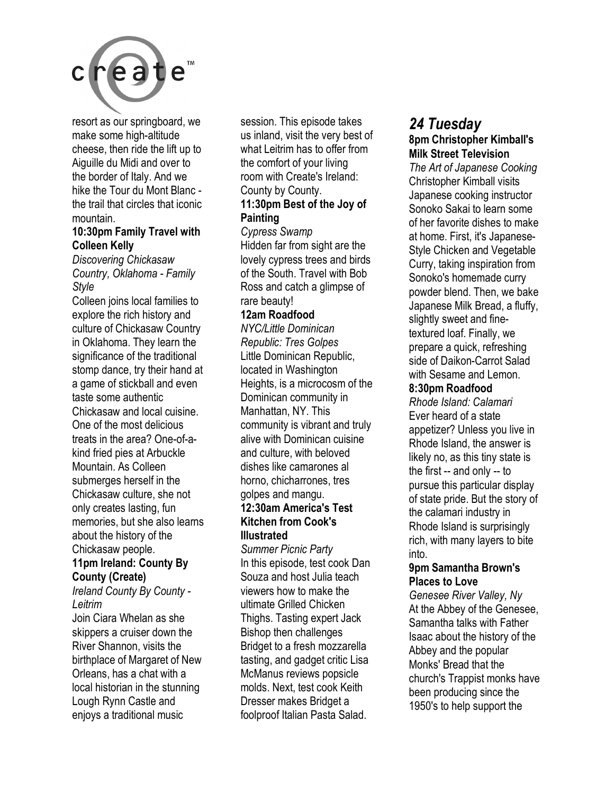

resort as our springboard, we make some high-altitude cheese, then ride the lift up to Aiguille du Midi and over to the border of Italy. And we hike the Tour du Mont Blanc the trail that circles that iconic mountain.

#### **10:30pm Family Travel with Colleen Kelly**

*Discovering Chickasaw Country, Oklahoma - Family Style* 

Colleen joins local families to explore the rich history and culture of Chickasaw Country in Oklahoma. They learn the significance of the traditional stomp dance, try their hand at a game of stickball and even taste some authentic Chickasaw and local cuisine. One of the most delicious treats in the area? One-of-akind fried pies at Arbuckle Mountain. As Colleen submerges herself in the Chickasaw culture, she not only creates lasting, fun memories, but she also learns about the history of the Chickasaw people.

#### **11pm Ireland: County By County (Create)**

*Ireland County By County - Leitrim* 

Join Ciara Whelan as she skippers a cruiser down the River Shannon, visits the birthplace of Margaret of New Orleans, has a chat with a local historian in the stunning Lough Rynn Castle and enjoys a traditional music

session. This episode takes us inland, visit the very best of what Leitrim has to offer from the comfort of your living room with Create's Ireland: County by County.

#### **11:30pm Best of the Joy of Painting**

*Cypress Swamp*  Hidden far from sight are the lovely cypress trees and birds of the South. Travel with Bob Ross and catch a glimpse of rare beauty!

#### **12am Roadfood**

*NYC/Little Dominican Republic: Tres Golpes*  Little Dominican Republic, located in Washington Heights, is a microcosm of the Dominican community in Manhattan, NY. This community is vibrant and truly alive with Dominican cuisine and culture, with beloved dishes like camarones al horno, chicharrones, tres golpes and mangu.

#### **12:30am America's Test Kitchen from Cook's Illustrated**

*Summer Picnic Party*  In this episode, test cook Dan Souza and host Julia teach viewers how to make the ultimate Grilled Chicken Thighs. Tasting expert Jack Bishop then challenges Bridget to a fresh mozzarella tasting, and gadget critic Lisa McManus reviews popsicle molds. Next, test cook Keith Dresser makes Bridget a foolproof Italian Pasta Salad.

#### *24 Tuesday*  **8pm Christopher Kimball's Milk Street Television**

*The Art of Japanese Cooking*  Christopher Kimball visits Japanese cooking instructor Sonoko Sakai to learn some of her favorite dishes to make at home. First, it's Japanese-Style Chicken and Vegetable Curry, taking inspiration from Sonoko's homemade curry powder blend. Then, we bake Japanese Milk Bread, a fluffy, slightly sweet and finetextured loaf. Finally, we prepare a quick, refreshing side of Daikon-Carrot Salad with Sesame and Lemon.

#### **8:30pm Roadfood**

*Rhode Island: Calamari*  Ever heard of a state appetizer? Unless you live in Rhode Island, the answer is likely no, as this tiny state is the first -- and only -- to pursue this particular display of state pride. But the story of the calamari industry in Rhode Island is surprisingly rich, with many layers to bite into.

#### **9pm Samantha Brown's Places to Love**

*Genesee River Valley, Ny*  At the Abbey of the Genesee, Samantha talks with Father Isaac about the history of the Abbey and the popular Monks' Bread that the church's Trappist monks have been producing since the 1950's to help support the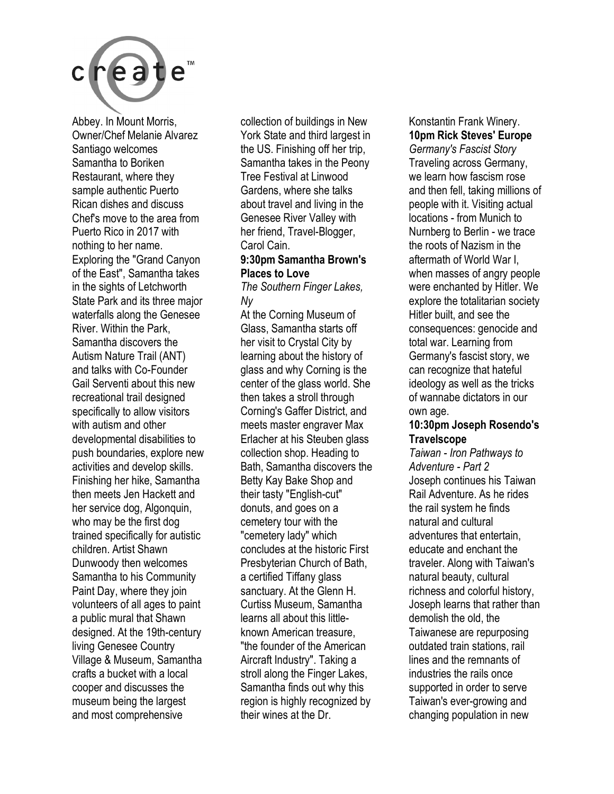

Abbey. In Mount Morris, Owner/Chef Melanie Alvarez Santiago welcomes Samantha to Boriken Restaurant, where they sample authentic Puerto Rican dishes and discuss Chef's move to the area from Puerto Rico in 2017 with nothing to her name. Exploring the "Grand Canyon of the East", Samantha takes in the sights of Letchworth State Park and its three major waterfalls along the Genesee River. Within the Park, Samantha discovers the Autism Nature Trail (ANT) and talks with Co-Founder Gail Serventi about this new recreational trail designed specifically to allow visitors with autism and other developmental disabilities to push boundaries, explore new activities and develop skills. Finishing her hike, Samantha then meets Jen Hackett and her service dog, Algonquin, who may be the first dog trained specifically for autistic children. Artist Shawn Dunwoody then welcomes Samantha to his Community Paint Day, where they join volunteers of all ages to paint a public mural that Shawn designed. At the 19th-century living Genesee Country Village & Museum, Samantha crafts a bucket with a local cooper and discusses the museum being the largest and most comprehensive

collection of buildings in New York State and third largest in the US. Finishing off her trip, Samantha takes in the Peony Tree Festival at Linwood Gardens, where she talks about travel and living in the Genesee River Valley with her friend, Travel-Blogger, Carol Cain.

#### **9:30pm Samantha Brown's Places to Love**

*The Southern Finger Lakes, Ny* 

At the Corning Museum of Glass, Samantha starts off her visit to Crystal City by learning about the history of glass and why Corning is the center of the glass world. She then takes a stroll through Corning's Gaffer District, and meets master engraver Max Erlacher at his Steuben glass collection shop. Heading to Bath, Samantha discovers the Betty Kay Bake Shop and their tasty "English-cut" donuts, and goes on a cemetery tour with the "cemetery lady" which concludes at the historic First Presbyterian Church of Bath, a certified Tiffany glass sanctuary. At the Glenn H. Curtiss Museum, Samantha learns all about this littleknown American treasure, "the founder of the American Aircraft Industry". Taking a stroll along the Finger Lakes, Samantha finds out why this region is highly recognized by their wines at the Dr.

Konstantin Frank Winery. **10pm Rick Steves' Europe**  *Germany's Fascist Story*  Traveling across Germany, we learn how fascism rose and then fell, taking millions of people with it. Visiting actual locations - from Munich to Nurnberg to Berlin - we trace the roots of Nazism in the aftermath of World War I, when masses of angry people were enchanted by Hitler. We explore the totalitarian society Hitler built, and see the consequences: genocide and total war. Learning from Germany's fascist story, we can recognize that hateful ideology as well as the tricks of wannabe dictators in our own age.

#### **10:30pm Joseph Rosendo's Travelscope**

*Taiwan - Iron Pathways to Adventure - Part 2*  Joseph continues his Taiwan Rail Adventure. As he rides the rail system he finds natural and cultural adventures that entertain, educate and enchant the traveler. Along with Taiwan's natural beauty, cultural richness and colorful history, Joseph learns that rather than demolish the old, the Taiwanese are repurposing outdated train stations, rail lines and the remnants of industries the rails once supported in order to serve Taiwan's ever-growing and changing population in new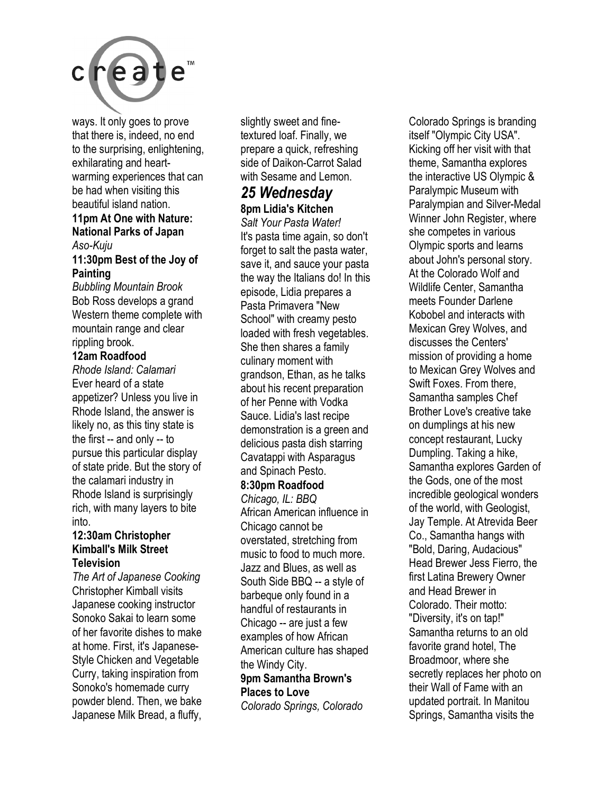

ways. It only goes to prove that there is, indeed, no end to the surprising, enlightening, exhilarating and heartwarming experiences that can be had when visiting this beautiful island nation.

#### **11pm At One with Nature: National Parks of Japan**  *Aso-Kuju*

#### **11:30pm Best of the Joy of Painting**

*Bubbling Mountain Brook*  Bob Ross develops a grand Western theme complete with mountain range and clear rippling brook.

#### **12am Roadfood**

*Rhode Island: Calamari*  Ever heard of a state appetizer? Unless you live in Rhode Island, the answer is likely no, as this tiny state is the first -- and only -- to pursue this particular display of state pride. But the story of the calamari industry in Rhode Island is surprisingly rich, with many layers to bite into.

#### **12:30am Christopher Kimball's Milk Street Television**

*The Art of Japanese Cooking*  Christopher Kimball visits Japanese cooking instructor Sonoko Sakai to learn some of her favorite dishes to make at home. First, it's Japanese-Style Chicken and Vegetable Curry, taking inspiration from Sonoko's homemade curry powder blend. Then, we bake Japanese Milk Bread, a fluffy,

slightly sweet and finetextured loaf. Finally, we prepare a quick, refreshing side of Daikon-Carrot Salad with Sesame and Lemon.

#### *25 Wednesday*  **8pm Lidia's Kitchen**

*Salt Your Pasta Water!*  It's pasta time again, so don't forget to salt the pasta water, save it, and sauce your pasta the way the Italians do! In this episode, Lidia prepares a Pasta Primavera "New School" with creamy pesto loaded with fresh vegetables. She then shares a family culinary moment with grandson, Ethan, as he talks about his recent preparation of her Penne with Vodka Sauce. Lidia's last recipe demonstration is a green and delicious pasta dish starring Cavatappi with Asparagus and Spinach Pesto.

#### **8:30pm Roadfood**

*Chicago, IL: BBQ*  African American influence in Chicago cannot be overstated, stretching from music to food to much more. Jazz and Blues, as well as South Side BBQ -- a style of barbeque only found in a handful of restaurants in Chicago -- are just a few examples of how African American culture has shaped the Windy City. **9pm Samantha Brown's** 

#### **Places to Love**

*Colorado Springs, Colorado* 

Colorado Springs is branding itself "Olympic City USA". Kicking off her visit with that theme, Samantha explores the interactive US Olympic & Paralympic Museum with Paralympian and Silver-Medal Winner John Register, where she competes in various Olympic sports and learns about John's personal story. At the Colorado Wolf and Wildlife Center, Samantha meets Founder Darlene Kobobel and interacts with Mexican Grey Wolves, and discusses the Centers' mission of providing a home to Mexican Grey Wolves and Swift Foxes. From there, Samantha samples Chef Brother Love's creative take on dumplings at his new concept restaurant, Lucky Dumpling. Taking a hike, Samantha explores Garden of the Gods, one of the most incredible geological wonders of the world, with Geologist, Jay Temple. At Atrevida Beer Co., Samantha hangs with "Bold, Daring, Audacious" Head Brewer Jess Fierro, the first Latina Brewery Owner and Head Brewer in Colorado. Their motto: "Diversity, it's on tap!" Samantha returns to an old favorite grand hotel, The Broadmoor, where she secretly replaces her photo on their Wall of Fame with an updated portrait. In Manitou Springs, Samantha visits the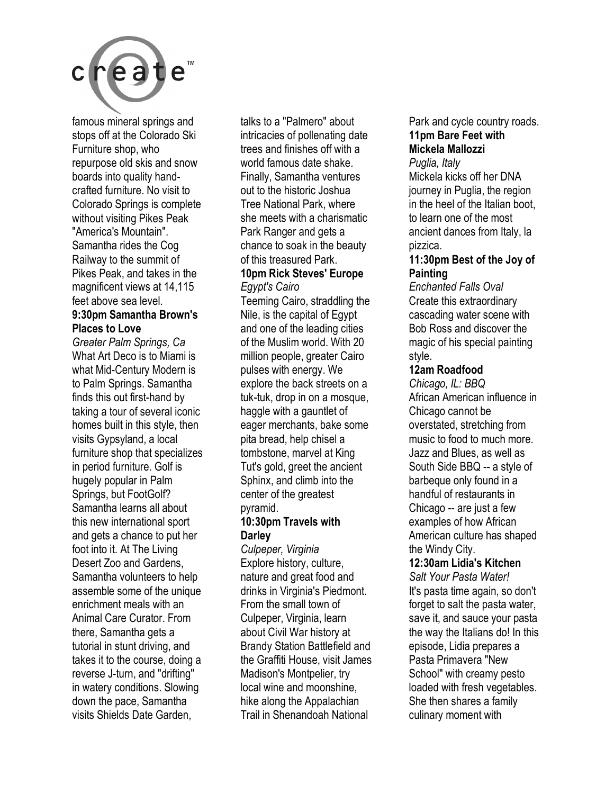

famous mineral springs and stops off at the Colorado Ski Furniture shop, who repurpose old skis and snow boards into quality handcrafted furniture. No visit to Colorado Springs is complete without visiting Pikes Peak "America's Mountain". Samantha rides the Cog Railway to the summit of Pikes Peak, and takes in the magnificent views at 14,115 feet above sea level.

#### **9:30pm Samantha Brown's Places to Love**

*Greater Palm Springs, Ca*  What Art Deco is to Miami is what Mid-Century Modern is to Palm Springs. Samantha finds this out first-hand by taking a tour of several iconic homes built in this style, then visits Gypsyland, a local furniture shop that specializes in period furniture. Golf is hugely popular in Palm Springs, but FootGolf? Samantha learns all about this new international sport and gets a chance to put her foot into it. At The Living Desert Zoo and Gardens, Samantha volunteers to help assemble some of the unique enrichment meals with an Animal Care Curator. From there, Samantha gets a tutorial in stunt driving, and takes it to the course, doing a reverse J-turn, and "drifting" in watery conditions. Slowing down the pace, Samantha visits Shields Date Garden,

talks to a "Palmero" about intricacies of pollenating date trees and finishes off with a world famous date shake. Finally, Samantha ventures out to the historic Joshua Tree National Park, where she meets with a charismatic Park Ranger and gets a chance to soak in the beauty of this treasured Park.

#### **10pm Rick Steves' Europe**  *Egypt's Cairo*

Teeming Cairo, straddling the Nile, is the capital of Egypt and one of the leading cities of the Muslim world. With 20 million people, greater Cairo pulses with energy. We explore the back streets on a tuk-tuk, drop in on a mosque, haggle with a gauntlet of eager merchants, bake some pita bread, help chisel a tombstone, marvel at King Tut's gold, greet the ancient Sphinx, and climb into the center of the greatest pyramid.

#### **10:30pm Travels with Darley**

*Culpeper, Virginia*  Explore history, culture, nature and great food and drinks in Virginia's Piedmont. From the small town of Culpeper, Virginia, learn about Civil War history at Brandy Station Battlefield and the Graffiti House, visit James Madison's Montpelier, try local wine and moonshine, hike along the Appalachian Trail in Shenandoah National

Park and cycle country roads. **11pm Bare Feet with Mickela Mallozzi**  *Puglia, Italy* 

Mickela kicks off her DNA journey in Puglia, the region in the heel of the Italian boot, to learn one of the most ancient dances from Italy, la pizzica.

#### **11:30pm Best of the Joy of Painting**

*Enchanted Falls Oval*  Create this extraordinary cascading water scene with Bob Ross and discover the magic of his special painting style.

#### **12am Roadfood**

*Chicago, IL: BBQ*  African American influence in Chicago cannot be overstated, stretching from music to food to much more. Jazz and Blues, as well as South Side BBQ -- a style of barbeque only found in a handful of restaurants in Chicago -- are just a few examples of how African American culture has shaped the Windy City.

### **12:30am Lidia's Kitchen**

*Salt Your Pasta Water!*  It's pasta time again, so don't forget to salt the pasta water, save it, and sauce your pasta the way the Italians do! In this episode, Lidia prepares a Pasta Primavera "New School" with creamy pesto loaded with fresh vegetables. She then shares a family culinary moment with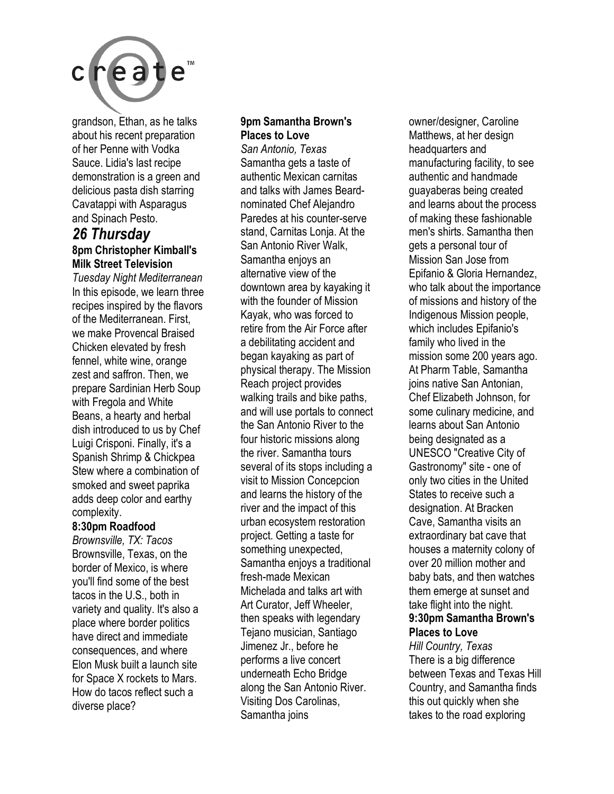

grandson, Ethan, as he talks about his recent preparation of her Penne with Vodka Sauce. Lidia's last recipe demonstration is a green and delicious pasta dish starring Cavatappi with Asparagus and Spinach Pesto.

#### *26 Thursday*  **8pm Christopher Kimball's Milk Street Television**

*Tuesday Night Mediterranean*  In this episode, we learn three recipes inspired by the flavors of the Mediterranean. First, we make Provencal Braised Chicken elevated by fresh fennel, white wine, orange zest and saffron. Then, we prepare Sardinian Herb Soup with Fregola and White Beans, a hearty and herbal dish introduced to us by Chef Luigi Crisponi. Finally, it's a Spanish Shrimp & Chickpea Stew where a combination of smoked and sweet paprika adds deep color and earthy complexity.

#### **8:30pm Roadfood**

*Brownsville, TX: Tacos* Brownsville, Texas, on the border of Mexico, is where you'll find some of the best tacos in the U.S., both in variety and quality. It's also a place where border politics have direct and immediate consequences, and where Elon Musk built a launch site for Space X rockets to Mars. How do tacos reflect such a diverse place?

### **9pm Samantha Brown's Places to Love**

*San Antonio, Texas*  Samantha gets a taste of authentic Mexican carnitas and talks with James Beardnominated Chef Alejandro Paredes at his counter-serve stand, Carnitas Lonja. At the San Antonio River Walk, Samantha enjoys an alternative view of the downtown area by kayaking it with the founder of Mission Kayak, who was forced to retire from the Air Force after a debilitating accident and began kayaking as part of physical therapy. The Mission Reach project provides walking trails and bike paths, and will use portals to connect the San Antonio River to the four historic missions along the river. Samantha tours several of its stops including a visit to Mission Concepcion and learns the history of the river and the impact of this urban ecosystem restoration project. Getting a taste for something unexpected, Samantha enjoys a traditional fresh-made Mexican Michelada and talks art with Art Curator, Jeff Wheeler, then speaks with legendary Tejano musician, Santiago Jimenez Jr., before he performs a live concert underneath Echo Bridge along the San Antonio River. Visiting Dos Carolinas, Samantha joins

owner/designer, Caroline Matthews, at her design headquarters and manufacturing facility, to see authentic and handmade guayaberas being created and learns about the process of making these fashionable men's shirts. Samantha then gets a personal tour of Mission San Jose from Epifanio & Gloria Hernandez, who talk about the importance of missions and history of the Indigenous Mission people, which includes Epifanio's family who lived in the mission some 200 years ago. At Pharm Table, Samantha joins native San Antonian, Chef Elizabeth Johnson, for some culinary medicine, and learns about San Antonio being designated as a UNESCO "Creative City of Gastronomy" site - one of only two cities in the United States to receive such a designation. At Bracken Cave, Samantha visits an extraordinary bat cave that houses a maternity colony of over 20 million mother and baby bats, and then watches them emerge at sunset and take flight into the night. **9:30pm Samantha Brown's Places to Love** 

*Hill Country, Texas*  There is a big difference between Texas and Texas Hill Country, and Samantha finds this out quickly when she takes to the road exploring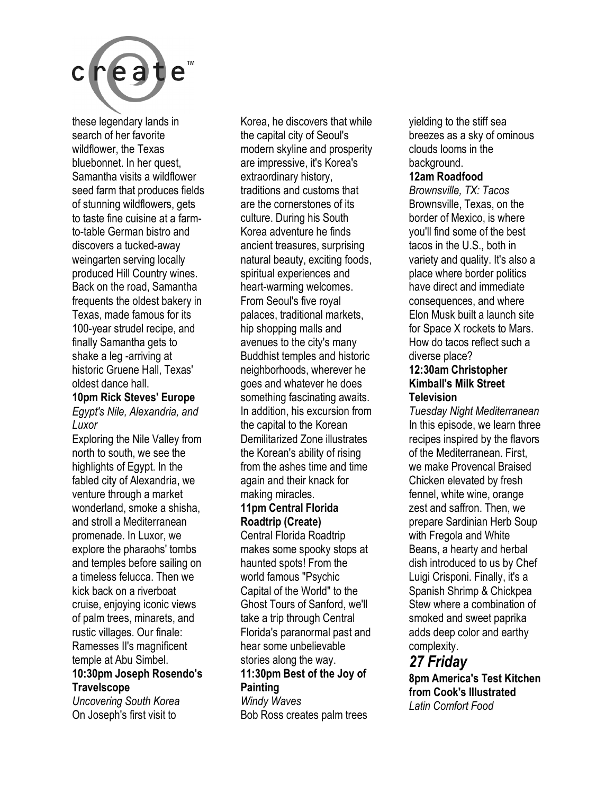

these legendary lands in search of her favorite wildflower, the Texas bluebonnet. In her quest, Samantha visits a wildflower seed farm that produces fields of stunning wildflowers, gets to taste fine cuisine at a farmto-table German bistro and discovers a tucked-away weingarten serving locally produced Hill Country wines. Back on the road, Samantha frequents the oldest bakery in Texas, made famous for its 100-year strudel recipe, and finally Samantha gets to shake a leg -arriving at historic Gruene Hall, Texas' oldest dance hall.

#### **10pm Rick Steves' Europe**

*Egypt's Nile, Alexandria, and Luxor* 

Exploring the Nile Valley from north to south, we see the highlights of Egypt. In the fabled city of Alexandria, we venture through a market wonderland, smoke a shisha, and stroll a Mediterranean promenade. In Luxor, we explore the pharaohs' tombs and temples before sailing on a timeless felucca. Then we kick back on a riverboat cruise, enjoying iconic views of palm trees, minarets, and rustic villages. Our finale: Ramesses II's magnificent temple at Abu Simbel. **10:30pm Joseph Rosendo's Travelscope** 

*Uncovering South Korea*  On Joseph's first visit to

Korea, he discovers that while the capital city of Seoul's modern skyline and prosperity are impressive, it's Korea's extraordinary history, traditions and customs that are the cornerstones of its culture. During his South Korea adventure he finds ancient treasures, surprising natural beauty, exciting foods, spiritual experiences and heart-warming welcomes. From Seoul's five royal palaces, traditional markets, hip shopping malls and avenues to the city's many Buddhist temples and historic neighborhoods, wherever he goes and whatever he does something fascinating awaits. In addition, his excursion from the capital to the Korean Demilitarized Zone illustrates the Korean's ability of rising from the ashes time and time again and their knack for making miracles. **11pm Central Florida Roadtrip (Create)**  Central Florida Roadtrip

makes some spooky stops at haunted spots! From the world famous "Psychic Capital of the World" to the Ghost Tours of Sanford, we'll take a trip through Central Florida's paranormal past and hear some unbelievable stories along the way. **11:30pm Best of the Joy of** 

#### **Painting**

*Windy Waves*  Bob Ross creates palm trees yielding to the stiff sea breezes as a sky of ominous clouds looms in the background.

#### **12am Roadfood**

*Brownsville, TX: Tacos*  Brownsville, Texas, on the border of Mexico, is where you'll find some of the best tacos in the U.S., both in variety and quality. It's also a place where border politics have direct and immediate consequences, and where Elon Musk built a launch site for Space X rockets to Mars. How do tacos reflect such a diverse place?

#### **12:30am Christopher Kimball's Milk Street Television**

*Tuesday Night Mediterranean*  In this episode, we learn three recipes inspired by the flavors of the Mediterranean. First, we make Provencal Braised Chicken elevated by fresh fennel, white wine, orange zest and saffron. Then, we prepare Sardinian Herb Soup with Fregola and White Beans, a hearty and herbal dish introduced to us by Chef Luigi Crisponi. Finally, it's a Spanish Shrimp & Chickpea Stew where a combination of smoked and sweet paprika adds deep color and earthy complexity.

### *27 Friday*

**8pm America's Test Kitchen from Cook's Illustrated**  *Latin Comfort Food*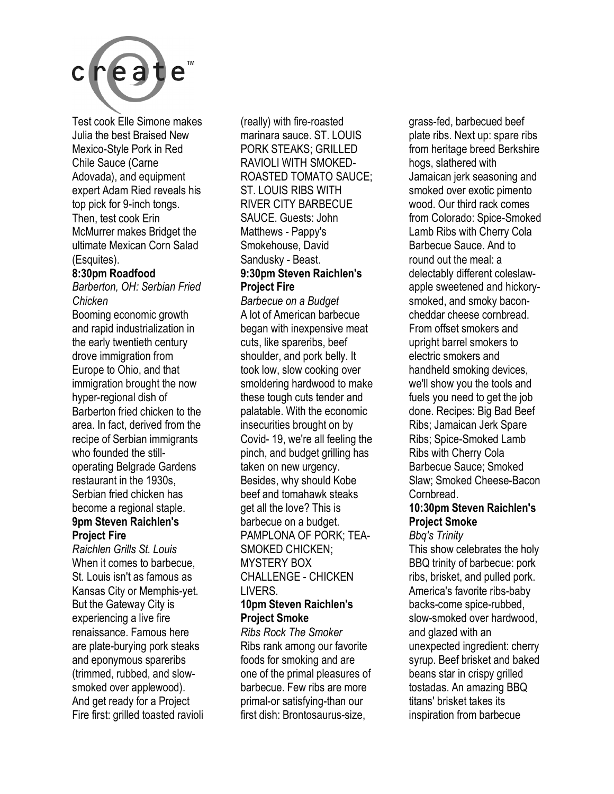

Test cook Elle Simone makes Julia the best Braised New Mexico-Style Pork in Red Chile Sauce (Carne Adovada), and equipment expert Adam Ried reveals his top pick for 9-inch tongs. Then, test cook Erin McMurrer makes Bridget the ultimate Mexican Corn Salad (Esquites).

#### **8:30pm Roadfood**

*Barberton, OH: Serbian Fried Chicken* 

Booming economic growth and rapid industrialization in the early twentieth century drove immigration from Europe to Ohio, and that immigration brought the now hyper-regional dish of Barberton fried chicken to the area. In fact, derived from the recipe of Serbian immigrants who founded the stilloperating Belgrade Gardens restaurant in the 1930s, Serbian fried chicken has become a regional staple.

#### **9pm Steven Raichlen's Project Fire**

*Raichlen Grills St. Louis*  When it comes to barbecue, St. Louis isn't as famous as Kansas City or Memphis-yet. But the Gateway City is experiencing a live fire renaissance. Famous here are plate-burying pork steaks and eponymous spareribs (trimmed, rubbed, and slowsmoked over applewood). And get ready for a Project Fire first: grilled toasted ravioli (really) with fire-roasted marinara sauce. ST. LOUIS PORK STEAKS; GRILLED RAVIOLI WITH SMOKED-ROASTED TOMATO SAUCE; ST. LOUIS RIBS WITH RIVER CITY BARBECUE SAUCE. Guests: John Matthews - Pappy's Smokehouse, David Sandusky - Beast. **9:30pm Steven Raichlen's Project Fire** 

*Barbecue on a Budget*  A lot of American barbecue began with inexpensive meat cuts, like spareribs, beef shoulder, and pork belly. It took low, slow cooking over smoldering hardwood to make these tough cuts tender and palatable. With the economic insecurities brought on by Covid- 19, we're all feeling the pinch, and budget grilling has taken on new urgency. Besides, why should Kobe beef and tomahawk steaks get all the love? This is barbecue on a budget. PAMPLONA OF PORK; TEA-SMOKED CHICKEN; MYSTERY BOX CHALLENGE - CHICKEN **LIVERS** 

#### **10pm Steven Raichlen's Project Smoke**

*Ribs Rock The Smoker*  Ribs rank among our favorite foods for smoking and are one of the primal pleasures of barbecue. Few ribs are more primal-or satisfying-than our first dish: Brontosaurus-size,

grass-fed, barbecued beef plate ribs. Next up: spare ribs from heritage breed Berkshire hogs, slathered with Jamaican jerk seasoning and smoked over exotic pimento wood. Our third rack comes from Colorado: Spice-Smoked Lamb Ribs with Cherry Cola Barbecue Sauce. And to round out the meal: a delectably different coleslawapple sweetened and hickorysmoked, and smoky baconcheddar cheese cornbread. From offset smokers and upright barrel smokers to electric smokers and handheld smoking devices, we'll show you the tools and fuels you need to get the job done. Recipes: Big Bad Beef Ribs; Jamaican Jerk Spare Ribs; Spice-Smoked Lamb Ribs with Cherry Cola Barbecue Sauce; Smoked Slaw; Smoked Cheese-Bacon Cornbread.

#### **10:30pm Steven Raichlen's Project Smoke**

*Bbq's Trinity*  This show celebrates the holy BBQ trinity of barbecue: pork ribs, brisket, and pulled pork. America's favorite ribs-baby backs-come spice-rubbed, slow-smoked over hardwood, and glazed with an unexpected ingredient: cherry syrup. Beef brisket and baked beans star in crispy grilled tostadas. An amazing BBQ titans' brisket takes its inspiration from barbecue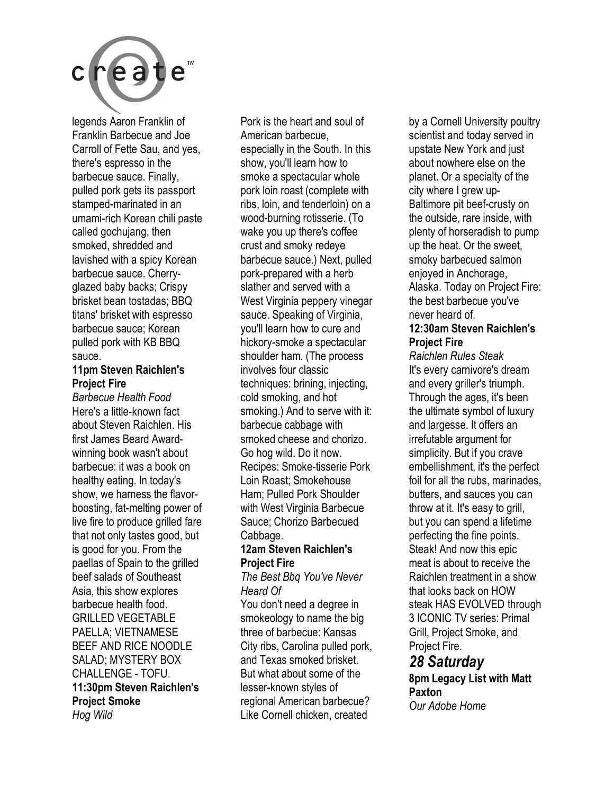

legends Aaron Franklin of Franklin Barbecue and Joe Carroll of Fette Sau, and yes, there's espresso in the barbecue sauce. Finally, pulled pork gets its passport stamped-marinated in an umami-rich Korean chili paste called gochujang, then smoked, shredded and lavished with a spicy Korean barbecue sauce. Cherryglazed baby backs; Crispy brisket bean tostadas; BBQ titans' brisket with espresso barbecue sauce; Korean pulled pork with KB BBQ sauce.

#### **11pm Steven Raichlen's Project Fire**

*Barbecue Health Food*  Here's a little-known fact about Steven Raichlen. His first James Beard Awardwinning book wasn't about barbecue: it was a book on healthy eating. In today's show, we harness the flavorboosting, fat-melting power of live fire to produce grilled fare that not only tastes good, but is good for you. From the paellas of Spain to the grilled beef salads of Southeast Asia, this show explores barbecue health food. GRILLED VEGETABLE PAELLA; VIETNAMESE BEEF AND RICE NOODLE SALAD; MYSTERY BOX CHALLENGE - TOFU. **11:30pm Steven Raichlen's Project Smoke**  *Hog Wild* 

Pork is the heart and soul of American barbecue, especially in the South. In this show, you'll learn how to smoke a spectacular whole pork loin roast (complete with ribs, loin, and tenderloin) on a wood-burning rotisserie. (To wake you up there's coffee crust and smoky redeye barbecue sauce.) Next, pulled pork-prepared with a herb slather and served with a West Virginia peppery vinegar sauce. Speaking of Virginia, you'll learn how to cure and hickory-smoke a spectacular shoulder ham. (The process involves four classic techniques: brining, injecting, cold smoking, and hot smoking.) And to serve with it: barbecue cabbage with smoked cheese and chorizo. Go hog wild. Do it now. Recipes: Smoke-tisserie Pork Loin Roast; Smokehouse Ham; Pulled Pork Shoulder with West Virginia Barbecue Sauce; Chorizo Barbecued Cabbage.

#### **12am Steven Raichlen's Project Fire**

#### *The Best Bbq You've Never Heard Of*

You don't need a degree in smokeology to name the big three of barbecue: Kansas City ribs, Carolina pulled pork, and Texas smoked brisket. But what about some of the lesser-known styles of regional American barbecue? Like Cornell chicken, created

by a Cornell University poultry scientist and today served in upstate New York and just about nowhere else on the planet. Or a specialty of the city where I grew up-Baltimore pit beef-crusty on the outside, rare inside, with plenty of horseradish to pump up the heat. Or the sweet, smoky barbecued salmon enjoyed in Anchorage, Alaska. Today on Project Fire: the best barbecue you've never heard of.

#### **12:30am Steven Raichlen's Project Fire**

*Raichlen Rules Steak*  It's every carnivore's dream and every griller's triumph. Through the ages, it's been the ultimate symbol of luxury and largesse. It offers an irrefutable argument for simplicity. But if you crave embellishment, it's the perfect foil for all the rubs, marinades, butters, and sauces you can throw at it. It's easy to grill, but you can spend a lifetime perfecting the fine points. Steak! And now this epic meat is about to receive the Raichlen treatment in a show that looks back on HOW steak HAS EVOLVED through 3 ICONIC TV series: Primal Grill, Project Smoke, and Project Fire.

### *28 Saturday*  **8pm Legacy List with Matt Paxton**

*Our Adobe Home*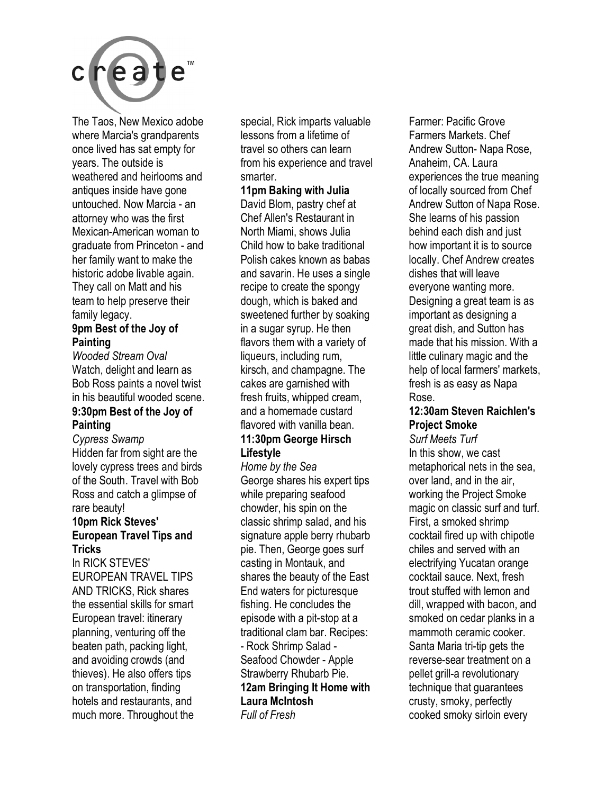

The Taos, New Mexico adobe where Marcia's grandparents once lived has sat empty for years. The outside is weathered and heirlooms and antiques inside have gone untouched. Now Marcia - an attorney who was the first Mexican-American woman to graduate from Princeton - and her family want to make the historic adobe livable again. They call on Matt and his team to help preserve their family legacy.

#### **9pm Best of the Joy of Painting**

*Wooded Stream Oval*  Watch, delight and learn as Bob Ross paints a novel twist in his beautiful wooded scene. **9:30pm Best of the Joy of** 

# **Painting**

*Cypress Swamp*  Hidden far from sight are the lovely cypress trees and birds of the South. Travel with Bob Ross and catch a glimpse of rare beauty!

#### **10pm Rick Steves' European Travel Tips and Tricks**

In RICK STEVES' EUROPEAN TRAVEL TIPS AND TRICKS, Rick shares the essential skills for smart European travel: itinerary planning, venturing off the beaten path, packing light, and avoiding crowds (and thieves). He also offers tips on transportation, finding hotels and restaurants, and much more. Throughout the

special, Rick imparts valuable lessons from a lifetime of travel so others can learn from his experience and travel smarter.

**11pm Baking with Julia**  David Blom, pastry chef at Chef Allen's Restaurant in North Miami, shows Julia Child how to bake traditional Polish cakes known as babas and savarin. He uses a single recipe to create the spongy dough, which is baked and sweetened further by soaking in a sugar syrup. He then flavors them with a variety of liqueurs, including rum, kirsch, and champagne. The cakes are garnished with fresh fruits, whipped cream, and a homemade custard flavored with vanilla bean.

#### **11:30pm George Hirsch Lifestyle**

*Home by the Sea*  George shares his expert tips while preparing seafood chowder, his spin on the classic shrimp salad, and his signature apple berry rhubarb pie. Then, George goes surf casting in Montauk, and shares the beauty of the East End waters for picturesque fishing. He concludes the episode with a pit-stop at a traditional clam bar. Recipes: - Rock Shrimp Salad - Seafood Chowder - Apple Strawberry Rhubarb Pie. **12am Bringing It Home with Laura McIntosh** 

*Full of Fresh* 

Farmer: Pacific Grove Farmers Markets. Chef Andrew Sutton- Napa Rose, Anaheim, CA. Laura experiences the true meaning of locally sourced from Chef Andrew Sutton of Napa Rose. She learns of his passion behind each dish and just how important it is to source locally. Chef Andrew creates dishes that will leave everyone wanting more. Designing a great team is as important as designing a great dish, and Sutton has made that his mission. With a little culinary magic and the help of local farmers' markets, fresh is as easy as Napa Rose.

#### **12:30am Steven Raichlen's Project Smoke**

*Surf Meets Turf*  In this show, we cast metaphorical nets in the sea, over land, and in the air, working the Project Smoke magic on classic surf and turf. First, a smoked shrimp cocktail fired up with chipotle chiles and served with an electrifying Yucatan orange cocktail sauce. Next, fresh trout stuffed with lemon and dill, wrapped with bacon, and smoked on cedar planks in a mammoth ceramic cooker. Santa Maria tri-tip gets the reverse-sear treatment on a pellet grill-a revolutionary technique that guarantees crusty, smoky, perfectly cooked smoky sirloin every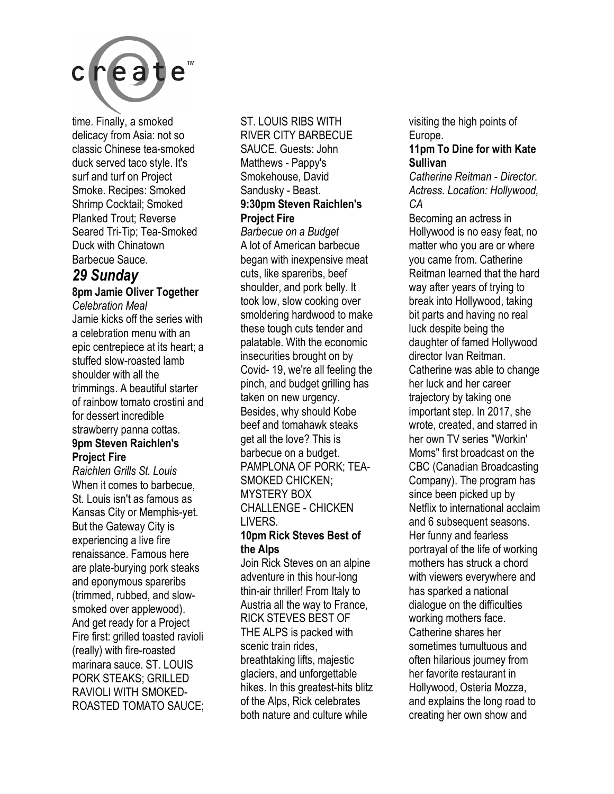

time. Finally, a smoked delicacy from Asia: not so classic Chinese tea-smoked duck served taco style. It's surf and turf on Project Smoke. Recipes: Smoked Shrimp Cocktail; Smoked Planked Trout; Reverse Seared Tri-Tip; Tea-Smoked Duck with Chinatown Barbecue Sauce.

### *29 Sunday*

#### **8pm Jamie Oliver Together**

*Celebration Meal*  Jamie kicks off the series with a celebration menu with an epic centrepiece at its heart; a stuffed slow-roasted lamb shoulder with all the trimmings. A beautiful starter of rainbow tomato crostini and for dessert incredible strawberry panna cottas. **9pm Steven Raichlen's Project Fire** 

*Raichlen Grills St. Louis*  When it comes to barbecue, St. Louis isn't as famous as Kansas City or Memphis-yet. But the Gateway City is experiencing a live fire renaissance. Famous here are plate-burying pork steaks and eponymous spareribs (trimmed, rubbed, and slowsmoked over applewood). And get ready for a Project Fire first: grilled toasted ravioli (really) with fire-roasted marinara sauce. ST. LOUIS PORK STEAKS; GRILLED RAVIOLI WITH SMOKED-ROASTED TOMATO SAUCE;

#### ST. LOUIS RIBS WITH

RIVER CITY BARBECUE SAUCE. Guests: John Matthews - Pappy's Smokehouse, David Sandusky - Beast. **9:30pm Steven Raichlen's Project Fire** 

*Barbecue on a Budget*  A lot of American barbecue began with inexpensive meat cuts, like spareribs, beef shoulder, and pork belly. It took low, slow cooking over smoldering hardwood to make these tough cuts tender and palatable. With the economic insecurities brought on by Covid- 19, we're all feeling the pinch, and budget grilling has taken on new urgency. Besides, why should Kobe beef and tomahawk steaks get all the love? This is barbecue on a budget. PAMPLONA OF PORK; TEA-SMOKED CHICKEN; MYSTERY BOX CHALLENGE - CHICKEN LIVERS.

#### **10pm Rick Steves Best of the Alps**

Join Rick Steves on an alpine adventure in this hour-long thin-air thriller! From Italy to Austria all the way to France, RICK STEVES BEST OF THE ALPS is packed with scenic train rides, breathtaking lifts, majestic glaciers, and unforgettable hikes. In this greatest-hits blitz of the Alps, Rick celebrates both nature and culture while

visiting the high points of Europe.

#### **11pm To Dine for with Kate Sullivan**

*Catherine Reitman - Director. Actress. Location: Hollywood, CA* 

Becoming an actress in Hollywood is no easy feat, no matter who you are or where you came from. Catherine Reitman learned that the hard way after years of trying to break into Hollywood, taking bit parts and having no real luck despite being the daughter of famed Hollywood director Ivan Reitman. Catherine was able to change her luck and her career trajectory by taking one important step. In 2017, she wrote, created, and starred in her own TV series "Workin' Moms" first broadcast on the CBC (Canadian Broadcasting Company). The program has since been picked up by Netflix to international acclaim and 6 subsequent seasons. Her funny and fearless portrayal of the life of working mothers has struck a chord with viewers everywhere and has sparked a national dialogue on the difficulties working mothers face. Catherine shares her sometimes tumultuous and often hilarious journey from her favorite restaurant in Hollywood, Osteria Mozza, and explains the long road to creating her own show and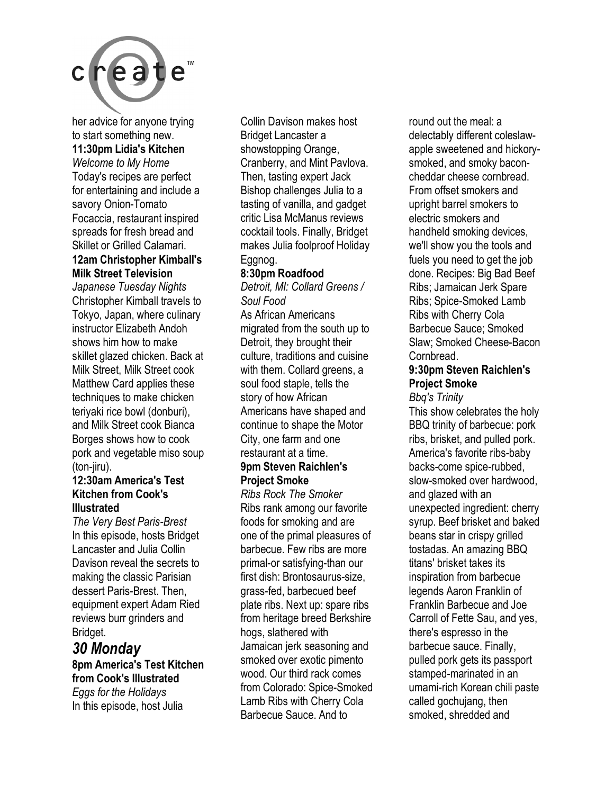

her advice for anyone trying to start something new. **11:30pm Lidia's Kitchen** 

*Welcome to My Home*  Today's recipes are perfect for entertaining and include a savory Onion-Tomato Focaccia, restaurant inspired spreads for fresh bread and Skillet or Grilled Calamari. **12am Christopher Kimball's** 

### **Milk Street Television**

*Japanese Tuesday Nights*  Christopher Kimball travels to Tokyo, Japan, where culinary instructor Elizabeth Andoh shows him how to make skillet glazed chicken. Back at Milk Street, Milk Street cook Matthew Card applies these techniques to make chicken teriyaki rice bowl (donburi), and Milk Street cook Bianca Borges shows how to cook pork and vegetable miso soup (ton-jiru).

#### **12:30am America's Test Kitchen from Cook's Illustrated**

*The Very Best Paris-Brest*  In this episode, hosts Bridget Lancaster and Julia Collin Davison reveal the secrets to making the classic Parisian dessert Paris-Brest. Then, equipment expert Adam Ried reviews burr grinders and Bridget.

### *30 Monday*  **8pm America's Test Kitchen**

**from Cook's Illustrated**  *Eggs for the Holidays*  In this episode, host Julia

Collin Davison makes host Bridget Lancaster a showstopping Orange, Cranberry, and Mint Pavlova. Then, tasting expert Jack Bishop challenges Julia to a tasting of vanilla, and gadget critic Lisa McManus reviews cocktail tools. Finally, Bridget makes Julia foolproof Holiday Eggnog.

#### **8:30pm Roadfood**

*Detroit, MI: Collard Greens / Soul Food*  As African Americans

migrated from the south up to Detroit, they brought their culture, traditions and cuisine with them. Collard greens, a soul food staple, tells the story of how African Americans have shaped and continue to shape the Motor City, one farm and one restaurant at a time. **9pm Steven Raichlen's Project Smoke** 

*Ribs Rock The Smoker*  Ribs rank among our favorite foods for smoking and are one of the primal pleasures of barbecue. Few ribs are more primal-or satisfying-than our first dish: Brontosaurus-size, grass-fed, barbecued beef plate ribs. Next up: spare ribs from heritage breed Berkshire hogs, slathered with Jamaican jerk seasoning and smoked over exotic pimento wood. Our third rack comes from Colorado: Spice-Smoked Lamb Ribs with Cherry Cola Barbecue Sauce. And to

round out the meal: a delectably different coleslawapple sweetened and hickorysmoked, and smoky baconcheddar cheese cornbread. From offset smokers and upright barrel smokers to electric smokers and handheld smoking devices, we'll show you the tools and fuels you need to get the job done. Recipes: Big Bad Beef Ribs; Jamaican Jerk Spare Ribs; Spice-Smoked Lamb Ribs with Cherry Cola Barbecue Sauce; Smoked Slaw; Smoked Cheese-Bacon Cornbread.

#### **9:30pm Steven Raichlen's Project Smoke**  *Bbq's Trinity*

#### This show celebrates the holy BBQ trinity of barbecue: pork ribs, brisket, and pulled pork. America's favorite ribs-baby backs-come spice-rubbed, slow-smoked over hardwood, and glazed with an unexpected ingredient: cherry syrup. Beef brisket and baked beans star in crispy grilled tostadas. An amazing BBQ titans' brisket takes its inspiration from barbecue legends Aaron Franklin of Franklin Barbecue and Joe Carroll of Fette Sau, and yes, there's espresso in the barbecue sauce. Finally, pulled pork gets its passport stamped-marinated in an umami-rich Korean chili paste called gochujang, then smoked, shredded and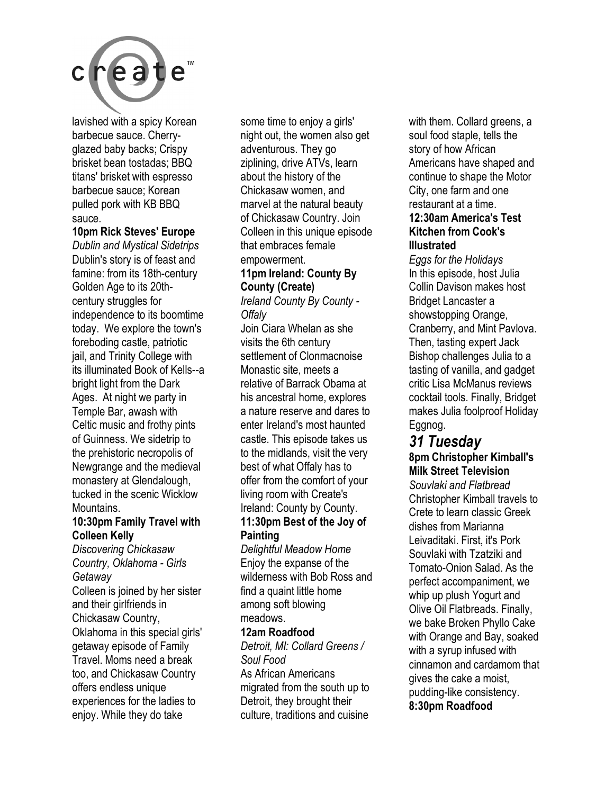

lavished with a spicy Korean barbecue sauce. Cherryglazed baby backs; Crispy brisket bean tostadas; BBQ titans' brisket with espresso barbecue sauce; Korean pulled pork with KB BBQ sauce.

#### **10pm Rick Steves' Europe**

*Dublin and Mystical Sidetrips*  Dublin's story is of feast and famine: from its 18th-century Golden Age to its 20thcentury struggles for independence to its boomtime today. We explore the town's foreboding castle, patriotic jail, and Trinity College with its illuminated Book of Kells--a bright light from the Dark Ages. At night we party in Temple Bar, awash with Celtic music and frothy pints of Guinness. We sidetrip to the prehistoric necropolis of Newgrange and the medieval monastery at Glendalough, tucked in the scenic Wicklow Mountains.

#### **10:30pm Family Travel with Colleen Kelly**

*Discovering Chickasaw Country, Oklahoma - Girls Getaway*  Colleen is joined by her sister and their girlfriends in Chickasaw Country, Oklahoma in this special girls' getaway episode of Family Travel. Moms need a break too, and Chickasaw Country offers endless unique experiences for the ladies to enjoy. While they do take

some time to enjoy a girls' night out, the women also get adventurous. They go ziplining, drive ATVs, learn about the history of the Chickasaw women, and marvel at the natural beauty of Chickasaw Country. Join Colleen in this unique episode that embraces female empowerment.

#### **11pm Ireland: County By County (Create)**

*Ireland County By County - Offaly* 

Join Ciara Whelan as she visits the 6th century settlement of Clonmacnoise Monastic site, meets a relative of Barrack Obama at his ancestral home, explores a nature reserve and dares to enter Ireland's most haunted castle. This episode takes us to the midlands, visit the very best of what Offaly has to offer from the comfort of your living room with Create's Ireland: County by County.

#### **11:30pm Best of the Joy of Painting**

*Delightful Meadow Home*  Enjoy the expanse of the wilderness with Bob Ross and find a quaint little home among soft blowing meadows.

#### **12am Roadfood**

*Detroit, MI: Collard Greens / Soul Food*  As African Americans migrated from the south up to Detroit, they brought their culture, traditions and cuisine

with them. Collard greens, a soul food staple, tells the story of how African Americans have shaped and continue to shape the Motor City, one farm and one restaurant at a time. **12:30am America's Test Kitchen from Cook's Illustrated** 

*Eggs for the Holidays*  In this episode, host Julia Collin Davison makes host Bridget Lancaster a showstopping Orange, Cranberry, and Mint Pavlova. Then, tasting expert Jack Bishop challenges Julia to a tasting of vanilla, and gadget critic Lisa McManus reviews cocktail tools. Finally, Bridget makes Julia foolproof Holiday Eggnog.

#### *31 Tuesday*  **8pm Christopher Kimball's Milk Street Television**

*Souvlaki and Flatbread*  Christopher Kimball travels to Crete to learn classic Greek dishes from Marianna Leivaditaki. First, it's Pork Souvlaki with Tzatziki and Tomato-Onion Salad. As the perfect accompaniment, we whip up plush Yogurt and Olive Oil Flatbreads. Finally, we bake Broken Phyllo Cake with Orange and Bay, soaked with a syrup infused with cinnamon and cardamom that gives the cake a moist, pudding-like consistency. **8:30pm Roadfood**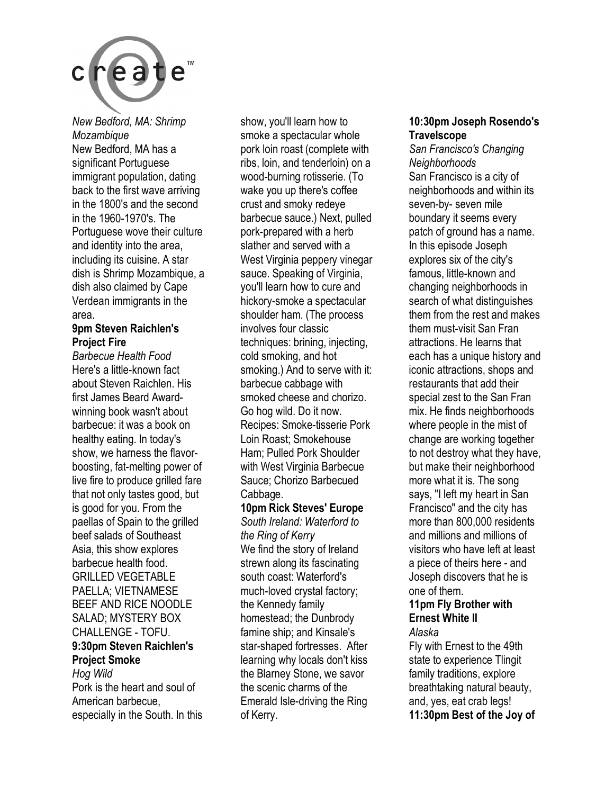

*New Bedford, MA: Shrimp Mozambique*  New Bedford, MA has a significant Portuguese immigrant population, dating back to the first wave arriving in the 1800's and the second in the 1960-1970's. The Portuguese wove their culture and identity into the area, including its cuisine. A star dish is Shrimp Mozambique, a dish also claimed by Cape Verdean immigrants in the area.

#### **9pm Steven Raichlen's Project Fire**

*Barbecue Health Food*  Here's a little-known fact about Steven Raichlen. His first James Beard Awardwinning book wasn't about barbecue: it was a book on healthy eating. In today's show, we harness the flavorboosting, fat-melting power of live fire to produce grilled fare that not only tastes good, but is good for you. From the paellas of Spain to the grilled beef salads of Southeast Asia, this show explores barbecue health food. GRILLED VEGETABLE PAELLA; VIETNAMESE BEEF AND RICE NOODLE SALAD; MYSTERY BOX CHALLENGE - TOFU.

### **9:30pm Steven Raichlen's Project Smoke**

*Hog Wild*  Pork is the heart and soul of American barbecue, especially in the South. In this show, you'll learn how to smoke a spectacular whole pork loin roast (complete with ribs, loin, and tenderloin) on a wood-burning rotisserie. (To wake you up there's coffee crust and smoky redeye barbecue sauce.) Next, pulled pork-prepared with a herb slather and served with a West Virginia peppery vinegar sauce. Speaking of Virginia, you'll learn how to cure and hickory-smoke a spectacular shoulder ham. (The process involves four classic techniques: brining, injecting, cold smoking, and hot smoking.) And to serve with it: barbecue cabbage with smoked cheese and chorizo. Go hog wild. Do it now. Recipes: Smoke-tisserie Pork Loin Roast; Smokehouse Ham; Pulled Pork Shoulder with West Virginia Barbecue Sauce; Chorizo Barbecued Cabbage.

**10pm Rick Steves' Europe**  *South Ireland: Waterford to the Ring of Kerry*  We find the story of Ireland strewn along its fascinating south coast: Waterford's much-loved crystal factory; the Kennedy family homestead; the Dunbrody famine ship; and Kinsale's star-shaped fortresses. After learning why locals don't kiss the Blarney Stone, we savor the scenic charms of the Emerald Isle-driving the Ring of Kerry.

#### **10:30pm Joseph Rosendo's Travelscope**

*San Francisco's Changing Neighborhoods*  San Francisco is a city of neighborhoods and within its seven-by- seven mile boundary it seems every patch of ground has a name. In this episode Joseph explores six of the city's famous, little-known and changing neighborhoods in search of what distinguishes them from the rest and makes them must-visit San Fran attractions. He learns that each has a unique history and iconic attractions, shops and restaurants that add their special zest to the San Fran mix. He finds neighborhoods where people in the mist of change are working together to not destroy what they have, but make their neighborhood more what it is. The song says, "I left my heart in San Francisco" and the city has more than 800,000 residents and millions and millions of visitors who have left at least a piece of theirs here - and Joseph discovers that he is one of them.

#### **11pm Fly Brother with Ernest White II**

#### *Alaska*

Fly with Ernest to the 49th state to experience Tlingit family traditions, explore breathtaking natural beauty, and, yes, eat crab legs! **11:30pm Best of the Joy of**